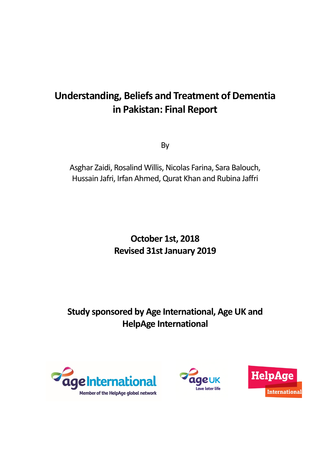# **Understanding, Beliefs and Treatment of Dementia in Pakistan: Final Report**

By

Asghar Zaidi, Rosalind Willis, Nicolas Farina, Sara Balouch, Hussain Jafri, Irfan Ahmed, Qurat Khan and Rubina Jaffri

> **October 1st, 2018 Revised 31st January 2019**

**Study sponsored by Age International, Age UK and HelpAge International**





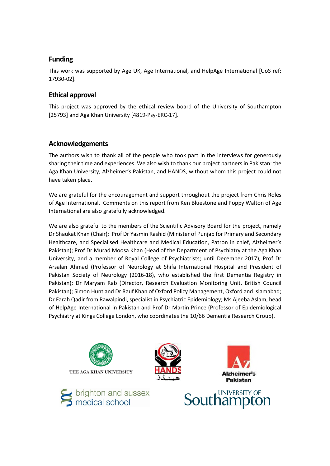# **Funding**

This work was supported by Age UK, Age International, and HelpAge International [UoS ref: 17930-02].

# **Ethical approval**

This project was approved by the ethical review board of the University of Southampton [25793] and Aga Khan University [4819-Psy-ERC-17].

# **Acknowledgements**

The authors wish to thank all of the people who took part in the interviews for generously sharing their time and experiences. We also wish to thank our project partners in Pakistan: the Aga Khan University, Alzheimer's Pakistan, and HANDS, without whom this project could not have taken place.

We are grateful for the encouragement and support throughout the project from Chris Roles of Age International. Comments on this report from Ken Bluestone and Poppy Walton of Age International are also gratefully acknowledged.

We are also grateful to the members of the Scientific Advisory Board for the project, namely Dr Shaukat Khan (Chair); Prof Dr Yasmin Rashid (Minister of Punjab for Primary and Secondary Healthcare, and Specialised Healthcare and Medical Education, Patron in chief, Alzheimer's Pakistan); Prof Dr Murad Moosa Khan (Head of the Department of Psychiatry at the Aga Khan University, and a member of Royal College of Psychiatrists; until December 2017), Prof Dr Arsalan Ahmad (Professor of Neurology at Shifa International Hospital and President of Pakistan Society of Neurology (2016-18), who established the first Dementia Registry in Pakistan); Dr Maryam Rab (Director, Research Evaluation Monitoring Unit, British Council Pakistan); Simon Hunt and Dr Rauf Khan of Oxford Policy Management, Oxford and Islamabad; Dr Farah Qadir from Rawalpindi, specialist in Psychiatric Epidemiology; Ms Ajeeba Aslam, head of HelpAge International in Pakistan and Prof Dr Martin Prince (Professor of Epidemiological Psychiatry at Kings College London, who coordinates the 10/66 Dementia Research Group).









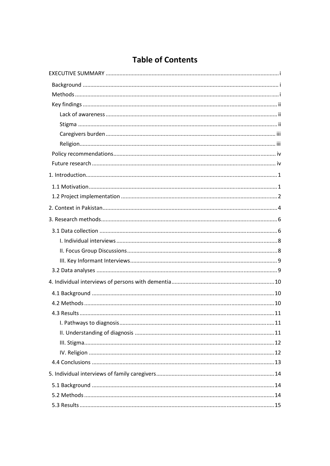# **Table of Contents**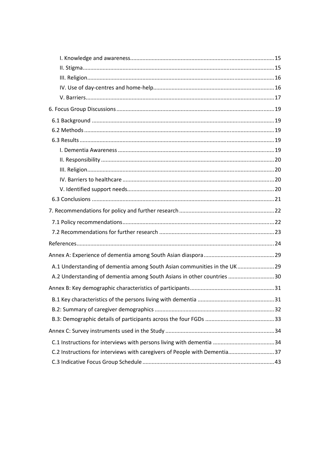| A.1 Understanding of dementia among South Asian communities in the UK29    |  |
|----------------------------------------------------------------------------|--|
| A.2 Understanding of dementia among South Asians in other countries 30     |  |
|                                                                            |  |
|                                                                            |  |
|                                                                            |  |
|                                                                            |  |
|                                                                            |  |
|                                                                            |  |
| C.2 Instructions for interviews with caregivers of People with Dementia 37 |  |
|                                                                            |  |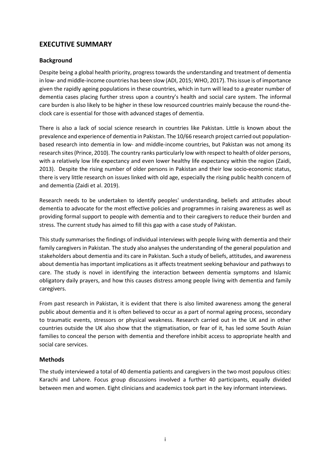# <span id="page-4-0"></span>**EXECUTIVE SUMMARY**

### <span id="page-4-1"></span>**Background**

Despite being a global health priority, progress towards the understanding and treatment of dementia in low- and middle-income countries has been slow (ADI, 2015; WHO, 2017). This issue is of importance given the rapidly ageing populations in these countries, which in turn will lead to a greater number of dementia cases placing further stress upon a country's health and social care system. The informal care burden is also likely to be higher in these low resourced countries mainly because the round-theclock care is essential for those with advanced stages of dementia.

There is also a lack of social science research in countries like Pakistan. Little is known about the prevalence and experience of dementia in Pakistan. The 10/66 research project carried out populationbased research into dementia in low- and middle-income countries, but Pakistan was not among its research sites (Prince, 2010). The country ranks particularly low with respect to health of older persons, with a relatively low life expectancy and even lower healthy life expectancy within the region (Zaidi, 2013). Despite the rising number of older persons in Pakistan and their low socio-economic status, there is very little research on issues linked with old age, especially the rising public health concern of and dementia (Zaidi et al. 2019).

Research needs to be undertaken to identify peoples' understanding, beliefs and attitudes about dementia to advocate for the most effective policies and programmes in raising awareness as well as providing formal support to people with dementia and to their caregivers to reduce their burden and stress. The current study has aimed to fill this gap with a case study of Pakistan.

This study summarises the findings of individual interviews with people living with dementia and their family caregivers in Pakistan. The study also analyses the understanding of the general population and stakeholders about dementia and its care in Pakistan. Such a study of beliefs, attitudes, and awareness about dementia has important implications as it affects treatment seeking behaviour and pathways to care. The study is novel in identifying the interaction between dementia symptoms and Islamic obligatory daily prayers, and how this causes distress among people living with dementia and family caregivers.

From past research in Pakistan, it is evident that there is also limited awareness among the general public about dementia and it is often believed to occur as a part of normal ageing process, secondary to traumatic events, stressors or physical weakness. Research carried out in the UK and in other countries outside the UK also show that the stigmatisation, or fear of it, has led some South Asian families to conceal the person with dementia and therefore inhibit access to appropriate health and social care services.

### <span id="page-4-2"></span>**Methods**

The study interviewed a total of 40 dementia patients and caregivers in the two most populous cities: Karachi and Lahore. Focus group discussions involved a further 40 participants, equally divided between men and women. Eight clinicians and academics took part in the key informant interviews.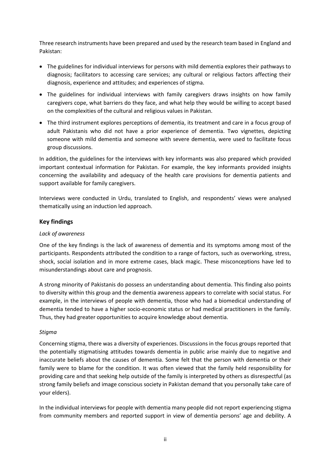Three research instruments have been prepared and used by the research team based in England and Pakistan:

- The guidelines for individual interviews for persons with mild dementia explores their pathways to diagnosis; facilitators to accessing care services; any cultural or religious factors affecting their diagnosis, experience and attitudes; and experiences of stigma.
- The guidelines for individual interviews with family caregivers draws insights on how family caregivers cope, what barriers do they face, and what help they would be willing to accept based on the complexities of the cultural and religious values in Pakistan.
- The third instrument explores perceptions of dementia, its treatment and care in a focus group of adult Pakistanis who did not have a prior experience of dementia. Two vignettes, depicting someone with mild dementia and someone with severe dementia, were used to facilitate focus group discussions.

In addition, the guidelines for the interviews with key informants was also prepared which provided important contextual information for Pakistan. For example, the key informants provided insights concerning the availability and adequacy of the health care provisions for dementia patients and support available for family caregivers.

Interviews were conducted in Urdu, translated to English, and respondents' views were analysed thematically using an induction led approach.

## <span id="page-5-0"></span>**Key findings**

### <span id="page-5-1"></span>*Lack of awareness*

One of the key findings is the lack of awareness of dementia and its symptoms among most of the participants. Respondents attributed the condition to a range of factors, such as overworking, stress, shock, social isolation and in more extreme cases, black magic. These misconceptions have led to misunderstandings about care and prognosis.

A strong minority of Pakistanis do possess an understanding about dementia. This finding also points to diversity within this group and the dementia awareness appears to correlate with social status. For example, in the interviews of people with dementia, those who had a biomedical understanding of dementia tended to have a higher socio-economic status or had medical practitioners in the family. Thus, they had greater opportunities to acquire knowledge about dementia.

### <span id="page-5-2"></span>*Stigma*

Concerning stigma, there was a diversity of experiences. Discussions in the focus groups reported that the potentially stigmatising attitudes towards dementia in public arise mainly due to negative and inaccurate beliefs about the causes of dementia. Some felt that the person with dementia or their family were to blame for the condition. It was often viewed that the family held responsibility for providing care and that seeking help outside of the family is interpreted by others as disrespectful (as strong family beliefs and image conscious society in Pakistan demand that you personally take care of your elders).

In the individual interviews for people with dementia many people did not report experiencing stigma from community members and reported support in view of dementia persons' age and debility. A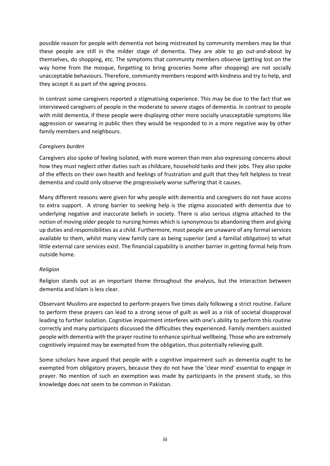possible reason for people with dementia not being mistreated by community members may be that these people are still in the milder stage of dementia. They are able to go out-and-about by themselves, do shopping, etc. The symptoms that community members observe (getting lost on the way home from the mosque, forgetting to bring groceries home after shopping) are not socially unacceptable behaviours. Therefore, community members respond with kindness and try to help, and they accept it as part of the ageing process.

In contrast some caregivers reported a stigmatising experience. This may be due to the fact that we interviewed caregivers of people in the moderate to severe stages of dementia. In contrast to people with mild dementia, if these people were displaying other more socially unacceptable symptoms like aggression or swearing in public then they would be responded to in a more negative way by other family members and neighbours.

### <span id="page-6-0"></span>*Caregivers burden*

Caregivers also spoke of feeling isolated, with more women than men also expressing concerns about how they must neglect other duties such as childcare, household tasks and their jobs. They also spoke of the effects on their own health and feelings of frustration and guilt that they felt helpless to treat dementia and could only observe the progressively worse suffering that it causes.

Many different reasons were given for why people with dementia and caregivers do not have access to extra support. A strong barrier to seeking help is the stigma associated with dementia due to underlying negative and inaccurate beliefs in society. There is also serious stigma attached to the notion of moving older people to nursing homes which is synonymous to abandoning them and giving up duties and responsibilities as a child. Furthermore, most people are unaware of any formal services available to them, whilst many view family care as being superior (and a familial obligation) to what little external care services exist. The financial capability is another barrier in getting formal help from outside home.

### <span id="page-6-1"></span>*Religion*

Religion stands out as an important theme throughout the analysis, but the interaction between dementia and Islam is less clear.

Observant Muslims are expected to perform prayers five times daily following a strict routine. Failure to perform these prayers can lead to a strong sense of guilt as well as a risk of societal disapproval leading to further isolation. Cognitive impairment interferes with one's ability to perform this routine correctly and many participants discussed the difficulties they experienced. Family members assisted people with dementia with the prayer routine to enhance spiritual wellbeing. Those who are extremely cognitively impaired may be exempted from the obligation, thus potentially relieving guilt.

Some scholars have argued that people with a cognitive impairment such as dementia ought to be exempted from obligatory prayers, because they do not have the 'clear mind' essential to engage in prayer. No mention of such an exemption was made by participants in the present study, so this knowledge does not seem to be common in Pakistan.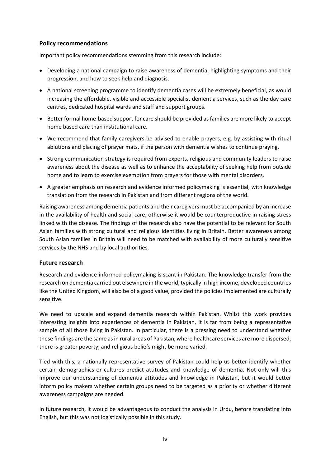### <span id="page-7-0"></span>**Policy recommendations**

Important policy recommendations stemming from this research include:

- Developing a national campaign to raise awareness of dementia, highlighting symptoms and their progression, and how to seek help and diagnosis.
- A national screening programme to identify dementia cases will be extremely beneficial, as would increasing the affordable, visible and accessible specialist dementia services, such as the day care centres, dedicated hospital wards and staff and support groups.
- **Better formal home-based support for care should be provided as families are more likely to accept** home based care than institutional care.
- We recommend that family caregivers be advised to enable prayers, e.g. by assisting with ritual ablutions and placing of prayer mats, if the person with dementia wishes to continue praying.
- Strong communication strategy is required from experts, religious and community leaders to raise awareness about the disease as well as to enhance the acceptability of seeking help from outside home and to learn to exercise exemption from prayers for those with mental disorders.
- A greater emphasis on research and evidence informed policymaking is essential, with knowledge translation from the research in Pakistan and from different regions of the world.

Raising awareness among dementia patients and their caregivers must be accompanied by an increase in the availability of health and social care, otherwise it would be counterproductive in raising stress linked with the disease. The findings of the research also have the potential to be relevant for South Asian families with strong cultural and religious identities living in Britain. Better awareness among South Asian families in Britain will need to be matched with availability of more culturally sensitive services by the NHS and by local authorities.

### <span id="page-7-1"></span>**Future research**

Research and evidence-informed policymaking is scant in Pakistan. The knowledge transfer from the research on dementia carried out elsewhere in the world, typically in high income, developed countries like the United Kingdom, will also be of a good value, provided the policies implemented are culturally sensitive.

We need to upscale and expand dementia research within Pakistan. Whilst this work provides interesting insights into experiences of dementia in Pakistan, it is far from being a representative sample of all those living in Pakistan. In particular, there is a pressing need to understand whether these findings are the same as in rural areas of Pakistan, where healthcare services are more dispersed, there is greater poverty, and religious beliefs might be more varied.

Tied with this, a nationally representative survey of Pakistan could help us better identify whether certain demographics or cultures predict attitudes and knowledge of dementia. Not only will this improve our understanding of dementia attitudes and knowledge in Pakistan, but it would better inform policy makers whether certain groups need to be targeted as a priority or whether different awareness campaigns are needed.

In future research, it would be advantageous to conduct the analysis in Urdu, before translating into English, but this was not logistically possible in this study.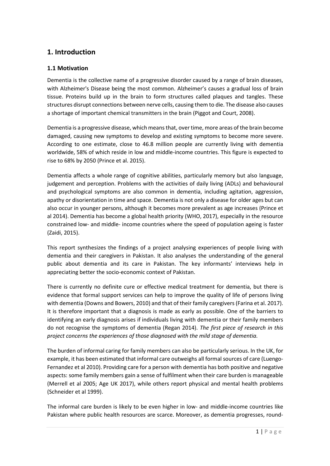# <span id="page-8-0"></span>**1. Introduction**

# <span id="page-8-1"></span>**1.1 Motivation**

Dementia is the collective name of a progressive disorder caused by a range of brain diseases, with Alzheimer's Disease being the most common. Alzheimer's causes a gradual loss of brain tissue. Proteins build up in the brain to form structures called plaques and tangles. These structures disrupt connections between nerve cells, causing them to die. The disease also causes a shortage of important chemical transmitters in the brain (Piggot and Court, 2008).

Dementia is a progressive disease, which means that, over time, more areas of the brain become damaged, causing new symptoms to develop and existing symptoms to become more severe. According to one estimate, close to 46.8 million people are currently living with dementia worldwide, 58% of which reside in low and middle-income countries. This figure is expected to rise to 68% by 2050 (Prince et al. 2015).

Dementia affects a whole range of cognitive abilities, particularly memory but also language, judgement and perception. Problems with the activities of daily living (ADLs) and behavioural and psychological symptoms are also common in dementia, including agitation, aggression, apathy or disorientation in time and space. Dementia is not only a disease for older ages but can also occur in younger persons, although it becomes more prevalent as age increases (Prince et al 2014). Dementia has become a global health priority (WHO, 2017), especially in the resource constrained low- and middle- income countries where the speed of population ageing is faster (Zaidi, 2015).

This report synthesizes the findings of a project analysing experiences of people living with dementia and their caregivers in Pakistan. It also analyses the understanding of the general public about dementia and its care in Pakistan. The key informants' interviews help in appreciating better the socio-economic context of Pakistan.

There is currently no definite cure or effective medical treatment for dementia, but there is evidence that formal support services can help to improve the quality of life of persons living with dementia (Downs and Bowers, 2010) and that of their family caregivers (Farina et al. 2017). It is therefore important that a diagnosis is made as early as possible. One of the barriers to identifying an early diagnosis arises if individuals living with dementia or their family members do not recognise the symptoms of dementia (Regan 2014). *The first piece of research in this project concerns the experiences of those diagnosed with the mild stage of dementia.*

The burden of informal caring for family members can also be particularly serious. In the UK, for example, it has been estimated that informal care outweighs all formal sources of care (Luengo-Fernandez et al 2010). Providing care for a person with dementia has both positive and negative aspects: some family members gain a sense of fulfilment when their care burden is manageable (Merrell et al 2005; Age UK 2017), while others report physical and mental health problems (Schneider et al 1999).

The informal care burden is likely to be even higher in low- and middle-income countries like Pakistan where public health resources are scarce. Moreover, as dementia progresses, round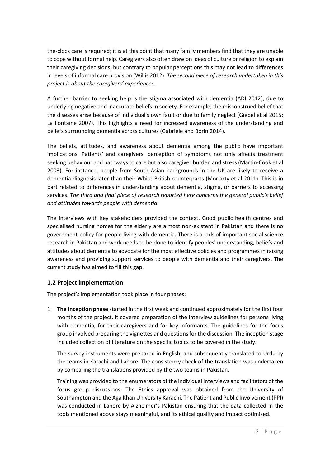the-clock care is required; it is at this point that many family members find that they are unable to cope without formal help. Caregivers also often draw on ideas of culture or religion to explain their caregiving decisions, but contrary to popular perceptions this may not lead to differences in levels of informal care provision (Willis 2012). *The second piece of research undertaken in this project is about the caregivers' experiences.*

A further barrier to seeking help is the stigma associated with dementia (ADI 2012), due to underlying negative and inaccurate beliefs in society. For example, the misconstrued belief that the diseases arise because of individual's own fault or due to family neglect (Giebel et al 2015; La Fontaine 2007). This highlights a need for increased awareness of the understanding and beliefs surrounding dementia across cultures (Gabriele and Borin 2014).

The beliefs, attitudes, and awareness about dementia among the public have important implications. Patients' and caregivers' perception of symptoms not only affects treatment seeking behaviour and pathways to care but also caregiver burden and stress (Martin-Cook et al 2003). For instance, people from South Asian backgrounds in the UK are likely to receive a dementia diagnosis later than their White British counterparts (Moriarty et al 2011). This is in part related to differences in understanding about dementia, stigma, or barriers to accessing services. *The third and final piece of research reported here concerns the general public's belief and attitudes towards people with dementia.*

The interviews with key stakeholders provided the context. Good public health centres and specialised nursing homes for the elderly are almost non-existent in Pakistan and there is no government policy for people living with dementia. There is a lack of important social science research in Pakistan and work needs to be done to identify peoples' understanding, beliefs and attitudes about dementia to advocate for the most effective policies and programmes in raising awareness and providing support services to people with dementia and their caregivers. The current study has aimed to fill this gap.

# <span id="page-9-0"></span>**1.2 Project implementation**

The project's implementation took place in four phases:

1. **The Inception phase** started in the first week and continued approximately for the first four months of the project. It covered preparation of the interview guidelines for persons living with dementia, for their caregivers and for key informants. The guidelines for the focus group involved preparing the vignettes and questions for the discussion. The inception stage included collection of literature on the specific topics to be covered in the study.

The survey instruments were prepared in English, and subsequently translated to Urdu by the teams in Karachi and Lahore. The consistency check of the translation was undertaken by comparing the translations provided by the two teams in Pakistan.

Training was provided to the enumerators of the individual interviews and facilitators of the focus group discussions. The Ethics approval was obtained from the University of Southampton and the Aga Khan University Karachi. The Patient and Public Involvement (PPI) was conducted in Lahore by Alzheimer's Pakistan ensuring that the data collected in the tools mentioned above stays meaningful, and its ethical quality and impact optimised.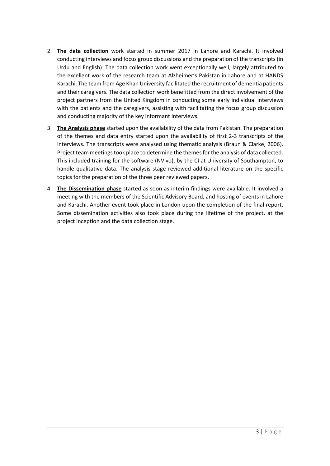- 2. **The data collection** work started in summer 2017 in Lahore and Karachi. It involved conducting interviews and focus group discussions and the preparation of the transcripts (in Urdu and English). The data collection work went exceptionally well, largely attributed to the excellent work of the research team at Alzheimer's Pakistan in Lahore and at HANDS Karachi. The team from Age Khan University facilitated the recruitment of dementia patients and their caregivers. The data collection work benefitted from the direct involvement of the project partners from the United Kingdom in conducting some early individual interviews with the patients and the caregivers, assisting with facilitating the focus group discussion and conducting majority of the key informant interviews.
- 3. **The Analysis phase** started upon the availability of the data from Pakistan. The preparation of the themes and data entry started upon the availability of first 2-3 transcripts of the interviews. The transcripts were analysed using thematic analysis (Braun & Clarke, 2006). Project team meetings took place to determine the themes for the analysis of data collected. This included training for the software (NVivo), by the CI at University of Southampton, to handle qualitative data. The analysis stage reviewed additional literature on the specific topics for the preparation of the three peer reviewed papers.
- 4. **The Dissemination phase** started as soon as interim findings were available. It involved a meeting with the members of the Scientific Advisory Board, and hosting of events in Lahore and Karachi. Another event took place in London upon the completion of the final report. Some dissemination activities also took place during the lifetime of the project, at the project inception and the data collection stage.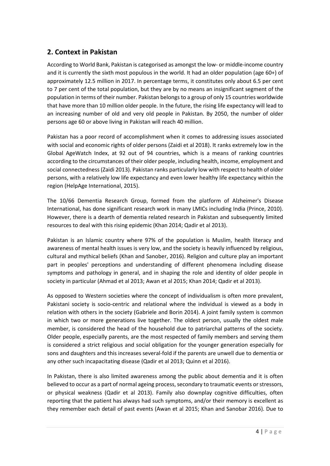# <span id="page-11-0"></span>**2. Context in Pakistan**

According to World Bank, Pakistan is categorised as amongst the low- or middle-income country and it is currently the sixth most populous in the world. It had an older population (age 60+) of approximately 12.5 million in 2017. In percentage terms, it constitutes only about 6.5 per cent to 7 per cent of the total population, but they are by no means an insignificant segment of the population in terms of their number. Pakistan belongs to a group of only 15 countries worldwide that have more than 10 million older people. In the future, the rising life expectancy will lead to an increasing number of old and very old people in Pakistan. By 2050, the number of older persons age 60 or above living in Pakistan will reach 40 million.

Pakistan has a poor record of accomplishment when it comes to addressing issues associated with social and economic rights of older persons (Zaidi et al 2018). It ranks extremely low in the Global AgeWatch Index, at 92 out of 94 countries, which is a means of ranking countries according to the circumstances of their older people, including health, income, employment and social connectedness (Zaidi 2013). Pakistan ranks particularly low with respect to health of older persons, with a relatively low life expectancy and even lower healthy life expectancy within the region (HelpAge International, 2015).

The 10/66 Dementia Research Group, formed from the platform of Alzheimer's Disease International, has done significant research work in many LMICs including India (Prince, 2010). However, there is a dearth of dementia related research in Pakistan and subsequently limited resources to deal with this rising epidemic (Khan 2014; Qadir et al 2013).

Pakistan is an Islamic country where 97% of the population is Muslim, health literacy and awareness of mental health issues is very low, and the society is heavily influenced by religious, cultural and mythical beliefs (Khan and Sanober, 2016). Religion and culture play an important part in peoples' perceptions and understanding of different phenomena including disease symptoms and pathology in general, and in shaping the role and identity of older people in society in particular (Ahmad et al 2013; Awan et al 2015; Khan 2014; Qadir et al 2013).

As opposed to Western societies where the concept of individualism is often more prevalent, Pakistani society is socio-centric and relational where the individual is viewed as a body in relation with others in the society (Gabriele and Borin 2014). A joint family system is common in which two or more generations live together. The oldest person, usually the oldest male member, is considered the head of the household due to patriarchal patterns of the society. Older people, especially parents, are the most respected of family members and serving them is considered a strict religious and social obligation for the younger generation especially for sons and daughters and this increases several-fold if the parents are unwell due to dementia or any other such incapacitating disease (Qadir et al 2013; Quinn et al 2016).

In Pakistan, there is also limited awareness among the public about dementia and it is often believed to occur as a part of normal ageing process, secondary to traumatic events or stressors, or physical weakness (Qadir et al 2013). Family also downplay cognitive difficulties, often reporting that the patient has always had such symptoms, and/or their memory is excellent as they remember each detail of past events (Awan et al 2015; Khan and Sanobar 2016). Due to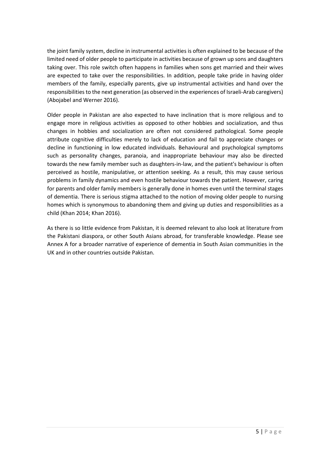the joint family system, decline in instrumental activities is often explained to be because of the limited need of older people to participate in activities because of grown up sons and daughters taking over. This role switch often happens in families when sons get married and their wives are expected to take over the responsibilities. In addition, people take pride in having older members of the family, especially parents, give up instrumental activities and hand over the responsibilities to the next generation (as observed in the experiences of Israeli-Arab caregivers) (Abojabel and Werner 2016).

Older people in Pakistan are also expected to have inclination that is more religious and to engage more in religious activities as opposed to other hobbies and socialization, and thus changes in hobbies and socialization are often not considered pathological. Some people attribute cognitive difficulties merely to lack of education and fail to appreciate changes or decline in functioning in low educated individuals. Behavioural and psychological symptoms such as personality changes, paranoia, and inappropriate behaviour may also be directed towards the new family member such as daughters-in-law, and the patient's behaviour is often perceived as hostile, manipulative, or attention seeking. As a result, this may cause serious problems in family dynamics and even hostile behaviour towards the patient. However, caring for parents and older family members is generally done in homes even until the terminal stages of dementia. There is serious stigma attached to the notion of moving older people to nursing homes which is synonymous to abandoning them and giving up duties and responsibilities as a child (Khan 2014; Khan 2016).

As there is so little evidence from Pakistan, it is deemed relevant to also look at literature from the Pakistani diaspora, or other South Asians abroad, for transferable knowledge. Please see Annex A for a broader narrative of experience of dementia in South Asian communities in the UK and in other countries outside Pakistan.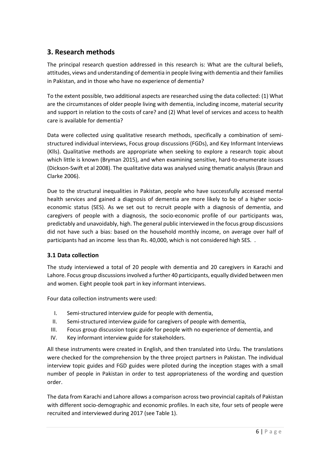# <span id="page-13-0"></span>**3. Research methods**

The principal research question addressed in this research is: What are the cultural beliefs, attitudes, views and understanding of dementia in people living with dementia and their families in Pakistan, and in those who have no experience of dementia?

To the extent possible, two additional aspects are researched using the data collected: (1) What are the circumstances of older people living with dementia, including income, material security and support in relation to the costs of care? and (2) What level of services and access to health care is available for dementia?

Data were collected using qualitative research methods, specifically a combination of semistructured individual interviews, Focus group discussions (FGDs), and Key Informant Interviews (Klls). Qualitative methods are appropriate when seeking to explore a research topic about which little is known (Bryman 2015), and when examining sensitive, hard-to-enumerate issues (Dickson-Swift et al 2008). The qualitative data was analysed using thematic analysis (Braun and Clarke 2006).

Due to the structural inequalities in Pakistan, people who have successfully accessed mental health services and gained a diagnosis of dementia are more likely to be of a higher socioeconomic status (SES). As we set out to recruit people with a diagnosis of dementia, and caregivers of people with a diagnosis, the socio-economic profile of our participants was, predictably and unavoidably, high. The general public interviewed in the focus group discussions did not have such a bias: based on the household monthly income, on average over half of participants had an income less than Rs. 40,000, which is not considered high SES. .

# <span id="page-13-1"></span>**3.1 Data collection**

The study interviewed a total of 20 people with dementia and 20 caregivers in Karachi and Lahore. Focus group discussions involved a further 40 participants, equally divided between men and women. Eight people took part in key informant interviews.

Four data collection instruments were used:

- I. Semi-structured interview guide for people with dementia,
- II. Semi-structured interview guide for caregivers of people with dementia,
- III. Focus group discussion topic guide for people with no experience of dementia, and
- IV. Key informant interview guide for stakeholders.

All these instruments were created in English, and then translated into Urdu. The translations were checked for the comprehension by the three project partners in Pakistan. The individual interview topic guides and FGD guides were piloted during the inception stages with a small number of people in Pakistan in order to test appropriateness of the wording and question order.

The data from Karachi and Lahore allows a comparison across two provincial capitals of Pakistan with different socio-demographic and economic profiles. In each site, four sets of people were recruited and interviewed during 2017 (see Table 1).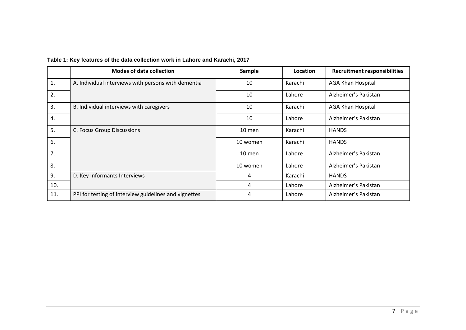|     | <b>Modes of data collection</b>                       | Sample   | Location | <b>Recruitment responsibilities</b> |
|-----|-------------------------------------------------------|----------|----------|-------------------------------------|
| 1.  | A. Individual interviews with persons with dementia   | 10       | Karachi  | <b>AGA Khan Hospital</b>            |
| 2.  |                                                       | 10       | Lahore   | Alzheimer's Pakistan                |
| 3.  | B. Individual interviews with caregivers              | 10       | Karachi  | <b>AGA Khan Hospital</b>            |
| 4.  |                                                       | 10       | Lahore   | Alzheimer's Pakistan                |
| 5.  | C. Focus Group Discussions                            | $10$ men | Karachi  | <b>HANDS</b>                        |
| 6.  |                                                       | 10 women | Karachi  | <b>HANDS</b>                        |
| 7.  |                                                       | $10$ men | Lahore   | Alzheimer's Pakistan                |
| 8.  |                                                       | 10 women | Lahore   | Alzheimer's Pakistan                |
| 9.  | D. Key Informants Interviews                          | 4        | Karachi  | <b>HANDS</b>                        |
| 10. |                                                       | 4        | Lahore   | Alzheimer's Pakistan                |
| 11. | PPI for testing of interview guidelines and vignettes | 4        | Lahore   | Alzheimer's Pakistan                |

# **Table 1: Key features of the data collection work in Lahore and Karachi, 2017**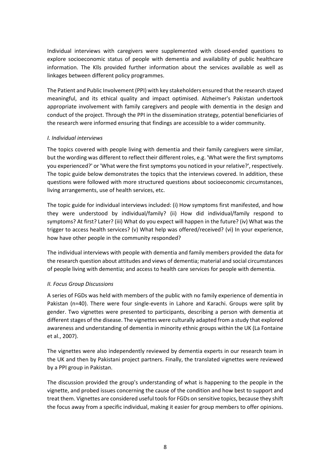Individual interviews with caregivers were supplemented with closed-ended questions to explore socioeconomic status of people with dementia and availability of public healthcare information. The Klls provided further information about the services available as well as linkages between different policy programmes.

The Patient and Public Involvement (PPI) with key stakeholders ensured that the research stayed meaningful, and its ethical quality and impact optimised. Alzheimer's Pakistan undertook appropriate involvement with family caregivers and people with dementia in the design and conduct of the project. Through the PPI in the dissemination strategy, potential beneficiaries of the research were informed ensuring that findings are accessible to a wider community.

#### <span id="page-15-0"></span>*I. Individual interviews*

The topics covered with people living with dementia and their family caregivers were similar, but the wording was different to reflect their different roles, e.g. 'What were the first symptoms you experienced?' or 'What were the first symptoms you noticed in your relative?', respectively. The topic guide below demonstrates the topics that the interviews covered. In addition, these questions were followed with more structured questions about socioeconomic circumstances, living arrangements, use of health services, etc.

The topic guide for individual interviews included: (i) How symptoms first manifested, and how they were understood by individual/family? (ii) How did individual/family respond to symptoms? At first? Later? (iii) What do you expect will happen in the future? (iv) What was the trigger to access health services? (v) What help was offered/received? (vi) In your experience, how have other people in the community responded?

The individual interviews with people with dementia and family members provided the data for the research question about attitudes and views of dementia; material and social circumstances of people living with dementia; and access to health care services for people with dementia.

### <span id="page-15-1"></span>*II. Focus Group Discussions*

A series of FGDs was held with members of the public with no family experience of dementia in Pakistan (n=40). There were four single-events in Lahore and Karachi. Groups were split by gender. Two vignettes were presented to participants, describing a person with dementia at different stages of the disease. The vignettes were culturally adapted from a study that explored awareness and understanding of dementia in minority ethnic groups within the UK (La Fontaine et al., 2007).

The vignettes were also independently reviewed by dementia experts in our research team in the UK and then by Pakistani project partners. Finally, the translated vignettes were reviewed by a PPI group in Pakistan.

The discussion provided the group's understanding of what is happening to the people in the vignette, and probed issues concerning the cause of the condition and how best to support and treat them. Vignettes are considered useful tools for FGDs on sensitive topics, because they shift the focus away from a specific individual, making it easier for group members to offer opinions.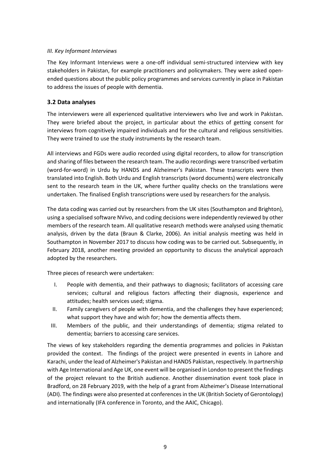#### <span id="page-16-0"></span>*III. Key Informant Interviews*

The Key Informant Interviews were a one-off individual semi-structured interview with key stakeholders in Pakistan, for example practitioners and policymakers. They were asked openended questions about the public policy programmes and services currently in place in Pakistan to address the issues of people with dementia.

### <span id="page-16-1"></span>**3.2 Data analyses**

The interviewers were all experienced qualitative interviewers who live and work in Pakistan. They were briefed about the project, in particular about the ethics of getting consent for interviews from cognitively impaired individuals and for the cultural and religious sensitivities. They were trained to use the study instruments by the research team.

All interviews and FGDs were audio recorded using digital recorders, to allow for transcription and sharing of files between the research team. The audio recordings were transcribed verbatim (word-for-word) in Urdu by HANDS and Alzheimer's Pakistan. These transcripts were then translated into English. Both Urdu and English transcripts (word documents) were electronically sent to the research team in the UK, where further quality checks on the translations were undertaken. The finalised English transcriptions were used by researchers for the analysis.

The data coding was carried out by researchers from the UK sites (Southampton and Brighton), using a specialised software NVivo, and coding decisions were independently reviewed by other members of the research team. All qualitative research methods were analysed using thematic analysis, driven by the data (Braun & Clarke, 2006). An initial analysis meeting was held in Southampton in November 2017 to discuss how coding was to be carried out. Subsequently, in February 2018, another meeting provided an opportunity to discuss the analytical approach adopted by the researchers.

Three pieces of research were undertaken:

- I. People with dementia, and their pathways to diagnosis; facilitators of accessing care services; cultural and religious factors affecting their diagnosis, experience and attitudes; health services used; stigma.
- II. Family caregivers of people with dementia, and the challenges they have experienced; what support they have and wish for; how the dementia affects them.
- III. Members of the public, and their understandings of dementia; stigma related to dementia; barriers to accessing care services.

The views of key stakeholders regarding the dementia programmes and policies in Pakistan provided the context. The findings of the project were presented in events in Lahore and Karachi, under the lead of Alzheimer's Pakistan and HANDS Pakistan, respectively. In partnership with Age International and Age UK, one event will be organised in London to present the findings of the project relevant to the British audience. Another dissemination event took place in Bradford, on 28 February 2019, with the help of a grant from Alzheimer's Disease International (ADI). The findings were also presented at conferences in the UK (British Society of Gerontology) and internationally (IFA conference in Toronto, and the AAIC, Chicago).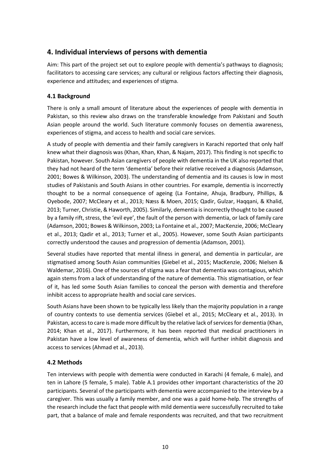# <span id="page-17-0"></span>**4. Individual interviews of persons with dementia**

Aim: This part of the project set out to explore people with dementia's pathways to diagnosis; facilitators to accessing care services; any cultural or religious factors affecting their diagnosis, experience and attitudes; and experiences of stigma.

# <span id="page-17-1"></span>**4.1 Background**

There is only a small amount of literature about the experiences of people with dementia in Pakistan, so this review also draws on the transferable knowledge from Pakistani and South Asian people around the world. Such literature commonly focuses on dementia awareness, experiences of stigma, and access to health and social care services.

A study of people with dementia and their family caregivers in Karachi reported that only half knew what their diagnosis was (Khan, Khan, Khan, & Najam, 2017). This finding is not specific to Pakistan, however. South Asian caregivers of people with dementia in the UK also reported that they had not heard of the term 'dementia' before their relative received a diagnosis (Adamson, 2001; Bowes & Wilkinson, 2003). The understanding of dementia and its causes is low in most studies of Pakistanis and South Asians in other countries. For example, dementia is incorrectly thought to be a normal consequence of ageing (La Fontaine, Ahuja, Bradbury, Phillips, & Oyebode, 2007; McCleary et al., 2013; Næss & Moen, 2015; Qadir, Gulzar, Haqqani, & Khalid, 2013; Turner, Christie, & Haworth, 2005). Similarly, dementia is incorrectly thought to be caused by a family rift, stress, the 'evil eye', the fault of the person with dementia, or lack of family care (Adamson, 2001; Bowes & Wilkinson, 2003; La Fontaine et al., 2007; MacKenzie, 2006; McCleary et al., 2013; Qadir et al., 2013; Turner et al., 2005). However, some South Asian participants correctly understood the causes and progression of dementia (Adamson, 2001).

Several studies have reported that mental illness in general, and dementia in particular, are stigmatised among South Asian communities (Giebel et al., 2015; MacKenzie, 2006; Nielsen & Waldemar, 2016). One of the sources of stigma was a fear that dementia was contagious, which again stems from a lack of understanding of the nature of dementia. This stigmatisation, or fear of it, has led some South Asian families to conceal the person with dementia and therefore inhibit access to appropriate health and social care services.

South Asians have been shown to be typically less likely than the majority population in a range of country contexts to use dementia services (Giebel et al., 2015; McCleary et al., 2013). In Pakistan, access to care is made more difficult by the relative lack of services for dementia (Khan, 2014; Khan et al., 2017). Furthermore, it has been reported that medical practitioners in Pakistan have a low level of awareness of dementia, which will further inhibit diagnosis and access to services (Ahmad et al., 2013).

# <span id="page-17-2"></span>**4.2 Methods**

Ten interviews with people with dementia were conducted in Karachi (4 female, 6 male), and ten in Lahore (5 female, 5 male). Table A.1 provides other important characteristics of the 20 participants. Several of the participants with dementia were accompanied to the interview by a caregiver. This was usually a family member, and one was a paid home-help. The strengths of the research include the fact that people with mild dementia were successfully recruited to take part, that a balance of male and female respondents was recruited, and that two recruitment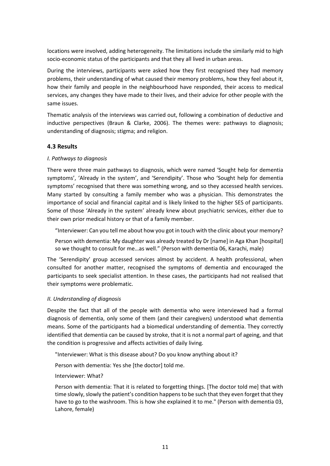locations were involved, adding heterogeneity. The limitations include the similarly mid to high socio-economic status of the participants and that they all lived in urban areas.

During the interviews, participants were asked how they first recognised they had memory problems, their understanding of what caused their memory problems, how they feel about it, how their family and people in the neighbourhood have responded, their access to medical services, any changes they have made to their lives, and their advice for other people with the same issues.

Thematic analysis of the interviews was carried out, following a combination of deductive and inductive perspectives (Braun & Clarke, 2006). The themes were: pathways to diagnosis; understanding of diagnosis; stigma; and religion.

### <span id="page-18-0"></span>**4.3 Results**

### <span id="page-18-1"></span>*I. Pathways to diagnosis*

There were three main pathways to diagnosis, which were named 'Sought help for dementia symptoms', 'Already in the system', and 'Serendipity'. Those who 'Sought help for dementia symptoms' recognised that there was something wrong, and so they accessed health services. Many started by consulting a family member who was a physician. This demonstrates the importance of social and financial capital and is likely linked to the higher SES of participants. Some of those 'Already in the system' already knew about psychiatric services, either due to their own prior medical history or that of a family member.

"Interviewer: Can you tell me about how you got in touch with the clinic about your memory?

Person with dementia: My daughter was already treated by Dr [name] in Aga Khan [hospital] so we thought to consult for me…as well." (Person with dementia 06, Karachi, male)

The 'Serendipity' group accessed services almost by accident. A health professional, when consulted for another matter, recognised the symptoms of dementia and encouraged the participants to seek specialist attention. In these cases, the participants had not realised that their symptoms were problematic.

#### <span id="page-18-2"></span>*II. Understanding of diagnosis*

Despite the fact that all of the people with dementia who were interviewed had a formal diagnosis of dementia, only some of them (and their caregivers) understood what dementia means. Some of the participants had a biomedical understanding of dementia. They correctly identified that dementia can be caused by stroke, that it is not a normal part of ageing, and that the condition is progressive and affects activities of daily living.

"Interviewer: What is this disease about? Do you know anything about it?

Person with dementia: Yes she [the doctor] told me.

Interviewer: What?

Person with dementia: That it is related to forgetting things. [The doctor told me] that with time slowly, slowly the patient's condition happens to be such that they even forget that they have to go to the washroom. This is how she explained it to me." (Person with dementia 03, Lahore, female)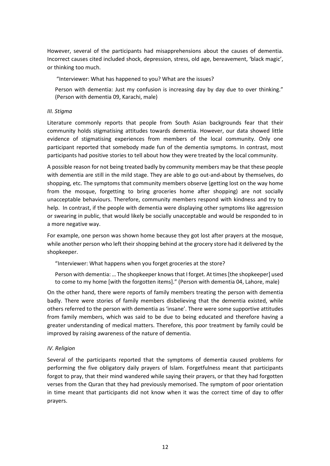However, several of the participants had misapprehensions about the causes of dementia. Incorrect causes cited included shock, depression, stress, old age, bereavement, 'black magic', or thinking too much.

"Interviewer: What has happened to you? What are the issues?

Person with dementia: Just my confusion is increasing day by day due to over thinking." (Person with dementia 09, Karachi, male)

#### <span id="page-19-0"></span>*III. Stigma*

Literature commonly reports that people from South Asian backgrounds fear that their community holds stigmatising attitudes towards dementia. However, our data showed little evidence of stigmatising experiences from members of the local community. Only one participant reported that somebody made fun of the dementia symptoms. In contrast, most participants had positive stories to tell about how they were treated by the local community.

A possible reason for not being treated badly by community members may be that these people with dementia are still in the mild stage. They are able to go out-and-about by themselves, do shopping, etc. The symptoms that community members observe (getting lost on the way home from the mosque, forgetting to bring groceries home after shopping) are not socially unacceptable behaviours. Therefore, community members respond with kindness and try to help. In contrast, if the people with dementia were displaying other symptoms like aggression or swearing in public, that would likely be socially unacceptable and would be responded to in a more negative way.

For example, one person was shown home because they got lost after prayers at the mosque, while another person who left their shopping behind at the grocery store had it delivered by the shopkeeper.

"Interviewer: What happens when you forget groceries at the store?

Person with dementia: … The shopkeeper knows that I forget. At times [the shopkeeper] used to come to my home [with the forgotten items]." (Person with dementia 04, Lahore, male)

On the other hand, there were reports of family members treating the person with dementia badly. There were stories of family members disbelieving that the dementia existed, while others referred to the person with dementia as 'insane'. There were some supportive attitudes from family members, which was said to be due to being educated and therefore having a greater understanding of medical matters. Therefore, this poor treatment by family could be improved by raising awareness of the nature of dementia.

#### <span id="page-19-1"></span>*IV. Religion*

Several of the participants reported that the symptoms of dementia caused problems for performing the five obligatory daily prayers of Islam. Forgetfulness meant that participants forgot to pray, that their mind wandered while saying their prayers, or that they had forgotten verses from the Quran that they had previously memorised. The symptom of poor orientation in time meant that participants did not know when it was the correct time of day to offer prayers.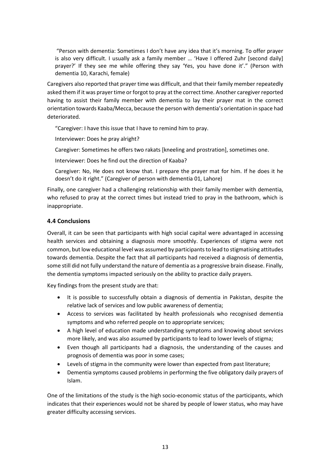"Person with dementia: Sometimes I don't have any idea that it's morning. To offer prayer is also very difficult. I usually ask a family member … 'Have I offered Zuhr [second daily] prayer?' If they see me while offering they say 'Yes, you have done it'." (Person with dementia 10, Karachi, female)

Caregivers also reported that prayer time was difficult, and that their family member repeatedly asked them if it was prayer time or forgot to pray at the correct time. Another caregiver reported having to assist their family member with dementia to lay their prayer mat in the correct orientation towards Kaaba/Mecca, because the person with dementia's orientation in space had deteriorated.

"Caregiver: I have this issue that I have to remind him to pray.

Interviewer: Does he pray alright?

Caregiver: Sometimes he offers two rakats [kneeling and prostration], sometimes one.

Interviewer: Does he find out the direction of Kaaba?

Caregiver: No, He does not know that. I prepare the prayer mat for him. If he does it he doesn't do it right." (Caregiver of person with dementia 01, Lahore)

Finally, one caregiver had a challenging relationship with their family member with dementia, who refused to pray at the correct times but instead tried to pray in the bathroom, which is inappropriate.

### <span id="page-20-0"></span>**4.4 Conclusions**

Overall, it can be seen that participants with high social capital were advantaged in accessing health services and obtaining a diagnosis more smoothly. Experiences of stigma were not common, but low educational level was assumed by participants to lead to stigmatising attitudes towards dementia. Despite the fact that all participants had received a diagnosis of dementia, some still did not fully understand the nature of dementia as a progressive brain disease. Finally, the dementia symptoms impacted seriously on the ability to practice daily prayers.

Key findings from the present study are that:

- It is possible to successfully obtain a diagnosis of dementia in Pakistan, despite the relative lack of services and low public awareness of dementia;
- Access to services was facilitated by health professionals who recognised dementia symptoms and who referred people on to appropriate services;
- A high level of education made understanding symptoms and knowing about services more likely, and was also assumed by participants to lead to lower levels of stigma;
- Even though all participants had a diagnosis, the understanding of the causes and prognosis of dementia was poor in some cases;
- Levels of stigma in the community were lower than expected from past literature;
- Dementia symptoms caused problems in performing the five obligatory daily prayers of Islam.

One of the limitations of the study is the high socio-economic status of the participants, which indicates that their experiences would not be shared by people of lower status, who may have greater difficulty accessing services.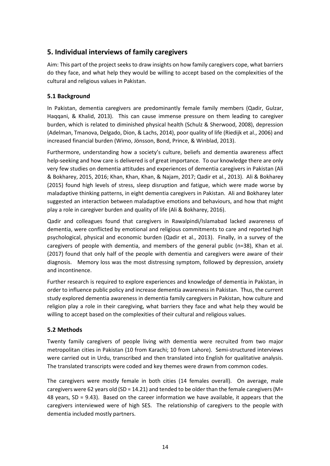# <span id="page-21-0"></span>**5. Individual interviews of family caregivers**

Aim: This part of the project seeks to draw insights on how family caregivers cope, what barriers do they face, and what help they would be willing to accept based on the complexities of the cultural and religious values in Pakistan.

# <span id="page-21-1"></span>**5.1 Background**

In Pakistan, dementia caregivers are predominantly female family members (Qadir, Gulzar, Haqqani, & Khalid, 2013). This can cause immense pressure on them leading to caregiver burden, which is related to diminished physical health (Schulz & Sherwood, 2008), depression (Adelman, Tmanova, Delgado, Dion, & Lachs, 2014), poor quality of life (Riedijk et al., 2006) and increased financial burden (Wimo, Jönsson, Bond, Prince, & Winblad, 2013).

Furthermore, understanding how a society's culture, beliefs and dementia awareness affect help-seeking and how care is delivered is of great importance. To our knowledge there are only very few studies on dementia attitudes and experiences of dementia caregivers in Pakistan (Ali & Bokharey, 2015, 2016; Khan, Khan, Khan, & Najam, 2017; Qadir et al., 2013). Ali & Bokharey (2015) found high levels of stress, sleep disruption and fatigue, which were made worse by maladaptive thinking patterns, in eight dementia caregivers in Pakistan. Ali and Bokharey later suggested an interaction between maladaptive emotions and behaviours, and how that might play a role in caregiver burden and quality of life (Ali & Bokharey, 2016).

Qadir and colleagues found that caregivers in Rawalpindi/Islamabad lacked awareness of dementia, were conflicted by emotional and religious commitments to care and reported high psychological, physical and economic burden (Qadir et al., 2013). Finally, in a survey of the caregivers of people with dementia, and members of the general public (n=38), Khan et al. (2017) found that only half of the people with dementia and caregivers were aware of their diagnosis. Memory loss was the most distressing symptom, followed by depression, anxiety and incontinence.

Further research is required to explore experiences and knowledge of dementia in Pakistan, in order to influence public policy and increase dementia awareness in Pakistan. Thus, the current study explored dementia awareness in dementia family caregivers in Pakistan, how culture and religion play a role in their caregiving, what barriers they face and what help they would be willing to accept based on the complexities of their cultural and religious values.

# <span id="page-21-2"></span>**5.2 Methods**

Twenty family caregivers of people living with dementia were recruited from two major metropolitan cities in Pakistan (10 from Karachi; 10 from Lahore). Semi-structured interviews were carried out in Urdu, transcribed and then translated into English for qualitative analysis. The translated transcripts were coded and key themes were drawn from common codes.

The caregivers were mostly female in both cities (14 females overall). On average, male caregivers were 62 years old (SD = 14.21) and tended to be older than the female caregivers (M= 48 years, SD = 9.43). Based on the career information we have available, it appears that the caregivers interviewed were of high SES. The relationship of caregivers to the people with dementia included mostly partners.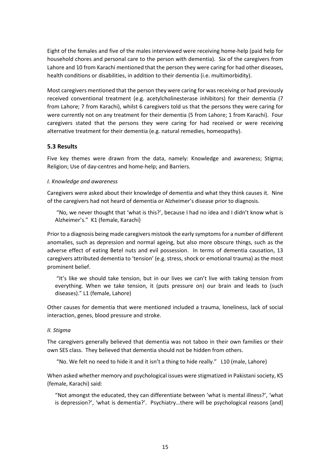Eight of the females and five of the males interviewed were receiving home-help (paid help for household chores and personal care to the person with dementia). Six of the caregivers from Lahore and 10 from Karachi mentioned that the person they were caring for had other diseases, health conditions or disabilities, in addition to their dementia (i.e. multimorbidity).

Most caregivers mentioned that the person they were caring for was receiving or had previously received conventional treatment (e.g. acetylcholinesterase inhibitors) for their dementia (7 from Lahore; 7 from Karachi), whilst 6 caregivers told us that the persons they were caring for were currently not on any treatment for their dementia (5 from Lahore; 1 from Karachi). Four caregivers stated that the persons they were caring for had received or were receiving alternative treatment for their dementia (e.g. natural remedies, homeopathy).

### <span id="page-22-0"></span>**5.3 Results**

Five key themes were drawn from the data, namely: Knowledge and awareness; Stigma; Religion; Use of day-centres and home-help; and Barriers.

#### <span id="page-22-1"></span>*I. Knowledge and awareness*

Caregivers were asked about their knowledge of dementia and what they think causes it. Nine of the caregivers had not heard of dementia or Alzheimer's disease prior to diagnosis.

 "No, we never thought that 'what is this?', because I had no idea and I didn't know what is Alzheimer's." K1 (female, Karachi)

Prior to a diagnosis being made caregivers mistook the early symptoms for a number of different anomalies, such as depression and normal ageing, but also more obscure things, such as the adverse effect of eating Betel nuts and evil possession. In terms of dementia causation, 13 caregivers attributed dementia to 'tension' (e.g. stress, shock or emotional trauma) as the most prominent belief.

 "It's like we should take tension, but in our lives we can't live with taking tension from everything. When we take tension, it (puts pressure on) our brain and leads to (such diseases)." L1 (female, Lahore)

Other causes for dementia that were mentioned included a trauma, loneliness, lack of social interaction, genes, blood pressure and stroke.

#### <span id="page-22-2"></span>*II. Stigma*

The caregivers generally believed that dementia was not taboo in their own families or their own SES class. They believed that dementia should not be hidden from others.

"No. We felt no need to hide it and it isn't a thing to hide really." L10 (male, Lahore)

When asked whether memory and psychological issues were stigmatized in Pakistani society, K5 (female, Karachi) said:

"Not amongst the educated, they can differentiate between 'what is mental illness?', 'what is depression?', 'what is dementia?'. Psychiatry…there will be psychological reasons [and]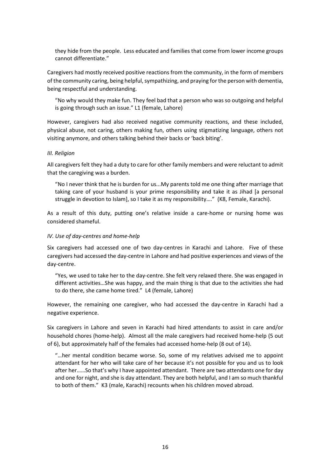they hide from the people. Less educated and families that come from lower income groups cannot differentiate."

Caregivers had mostly received positive reactions from the community, in the form of members of the community caring, being helpful, sympathizing, and praying for the person with dementia, being respectful and understanding.

"No why would they make fun. They feel bad that a person who was so outgoing and helpful is going through such an issue." L1 (female, Lahore)

However, caregivers had also received negative community reactions, and these included, physical abuse, not caring, others making fun, others using stigmatizing language, others not visiting anymore, and others talking behind their backs or 'back biting'.

#### <span id="page-23-0"></span>*III. Religion*

All caregivers felt they had a duty to care for other family members and were reluctant to admit that the caregiving was a burden.

"No I never think that he is burden for us...My parents told me one thing after marriage that taking care of your husband is your prime responsibility and take it as Jihad [a personal struggle in devotion to Islam], so I take it as my responsibility…." (K8, Female, Karachi).

As a result of this duty, putting one's relative inside a care-home or nursing home was considered shameful.

#### <span id="page-23-1"></span>*IV. Use of day-centres and home-help*

Six caregivers had accessed one of two day-centres in Karachi and Lahore. Five of these caregivers had accessed the day-centre in Lahore and had positive experiences and views of the day-centre.

"Yes, we used to take her to the day-centre. She felt very relaxed there. She was engaged in different activities…She was happy, and the main thing is that due to the activities she had to do there, she came home tired." L4 (female, Lahore)

However, the remaining one caregiver, who had accessed the day-centre in Karachi had a negative experience.

Six caregivers in Lahore and seven in Karachi had hired attendants to assist in care and/or household chores (home-help). Almost all the male caregivers had received home-help (5 out of 6), but approximately half of the females had accessed home-help (8 out of 14).

"…her mental condition became worse. So, some of my relatives advised me to appoint attendant for her who will take care of her because it's not possible for you and us to look after her……So that's why I have appointed attendant. There are two attendants one for day and one for night, and she is day attendant. They are both helpful, and I am so much thankful to both of them." K3 (male, Karachi) recounts when his children moved abroad.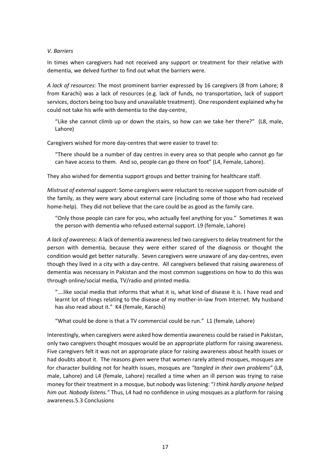#### <span id="page-24-0"></span>*V. Barriers*

In times when caregivers had not received any support or treatment for their relative with dementia, we delved further to find out what the barriers were.

*A lack of resources:* The most prominent barrier expressed by 16 caregivers (8 from Lahore; 8 from Karachi) was a lack of resources (e.g. lack of funds, no transportation, lack of support services, doctors being too busy and unavailable treatment). One respondent explained why he could not take his wife with dementia to the day-centre,

"Like she cannot climb up or down the stairs, so how can we take her there?" (L8, male, Lahore)

Caregivers wished for more day-centres that were easier to travel to:

"There should be a number of day centres in every area so that people who cannot go far can have access to them. And so, people can go there on foot" (L4, Female, Lahore).

They also wished for dementia support groups and better training for healthcare staff.

*Mistrust of external support:* Some caregivers were reluctant to receive support from outside of the family, as they were wary about external care (including some of those who had received home-help). They did not believe that the care could be as good as the family care.

"Only those people can care for you, who actually feel anything for you." Sometimes it was the person with dementia who refused external support. L9 (female, Lahore)

*A lack of awareness:* A lack of dementia awareness led two caregivers to delay treatment for the person with dementia, because they were either scared of the diagnosis or thought the condition would get better naturally. Seven caregivers were unaware of any day-centres, even though they lived in a city with a day-centre. All caregivers believed that raising awareness of dementia was necessary in Pakistan and the most common suggestions on how to do this was through online/social media, TV/radio and printed media.

"….like social media that informs that what it is, what kind of disease it is. I have read and learnt lot of things relating to the disease of my mother-in-law from Internet. My husband has also read about it." K4 (female, Karachi)

"What could be done is that a TV commercial could be run." L1 (female, Lahore)

Interestingly, when caregivers were asked how dementia awareness could be raised in Pakistan, only two caregivers thought mosques would be an appropriate platform for raising awareness. Five caregivers felt it was not an appropriate place for raising awareness about health issues or had doubts about it. The reasons given were that women rarely attend mosques, mosques are for character building not for health issues, mosques are *"tangled in their own problems"* (L8, male, Lahore) and L4 (female, Lahore) recalled a time when an ill person was trying to raise money for their treatment in a mosque, but nobody was listening: "*I think hardly anyone helped him out. Nobody listens."* Thus, L4 had no confidence in using mosques as a platform for raising awareness.5.3 Conclusions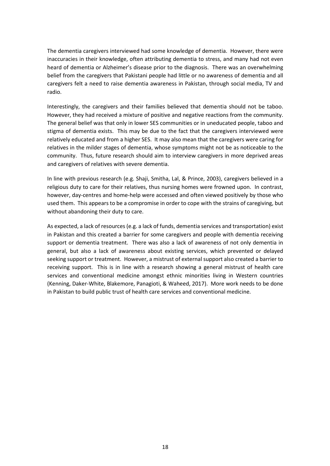The dementia caregivers interviewed had some knowledge of dementia. However, there were inaccuracies in their knowledge, often attributing dementia to stress, and many had not even heard of dementia or Alzheimer's disease prior to the diagnosis. There was an overwhelming belief from the caregivers that Pakistani people had little or no awareness of dementia and all caregivers felt a need to raise dementia awareness in Pakistan, through social media, TV and radio.

Interestingly, the caregivers and their families believed that dementia should not be taboo. However, they had received a mixture of positive and negative reactions from the community. The general belief was that only in lower SES communities or in uneducated people, taboo and stigma of dementia exists. This may be due to the fact that the caregivers interviewed were relatively educated and from a higher SES. It may also mean that the caregivers were caring for relatives in the milder stages of dementia, whose symptoms might not be as noticeable to the community. Thus, future research should aim to interview caregivers in more deprived areas and caregivers of relatives with severe dementia.

In line with previous research (e.g. Shaji, Smitha, Lal, & Prince, 2003), caregivers believed in a religious duty to care for their relatives, thus nursing homes were frowned upon. In contrast, however, day-centres and home-help were accessed and often viewed positively by those who used them. This appears to be a compromise in order to cope with the strains of caregiving, but without abandoning their duty to care.

As expected, a lack of resources (e.g. a lack of funds, dementia services and transportation) exist in Pakistan and this created a barrier for some caregivers and people with dementia receiving support or dementia treatment. There was also a lack of awareness of not only dementia in general, but also a lack of awareness about existing services, which prevented or delayed seeking support or treatment. However, a mistrust of external support also created a barrier to receiving support. This is in line with a research showing a general mistrust of health care services and conventional medicine amongst ethnic minorities living in Western countries (Kenning, Daker-White, Blakemore, Panagioti, & Waheed, 2017). More work needs to be done in Pakistan to build public trust of health care services and conventional medicine.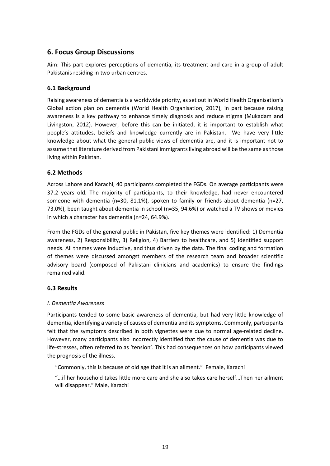# <span id="page-26-0"></span>**6. Focus Group Discussions**

Aim: This part explores perceptions of dementia, its treatment and care in a group of adult Pakistanis residing in two urban centres.

## <span id="page-26-1"></span>**6.1 Background**

Raising awareness of dementia is a worldwide priority, as set out in World Health Organisation's Global action plan on dementia (World Health Organisation, 2017), in part because raising awareness is a key pathway to enhance timely diagnosis and reduce stigma (Mukadam and Livingston, 2012). However, before this can be initiated, it is important to establish what people's attitudes, beliefs and knowledge currently are in Pakistan. We have very little knowledge about what the general public views of dementia are, and it is important not to assume that literature derived from Pakistani immigrants living abroad will be the same as those living within Pakistan.

## <span id="page-26-2"></span>**6.2 Methods**

Across Lahore and Karachi, 40 participants completed the FGDs. On average participants were 37.2 years old. The majority of participants, to their knowledge, had never encountered someone with dementia (n=30, 81.1%), spoken to family or friends about dementia (n=27, 73.0%), been taught about dementia in school (n=35, 94.6%) or watched a TV shows or movies in which a character has dementia (n=24, 64.9%).

From the FGDs of the general public in Pakistan, five key themes were identified: 1) Dementia awareness, 2) Responsibility, 3) Religion, 4) Barriers to healthcare, and 5) Identified support needs. All themes were inductive, and thus driven by the data. The final coding and formation of themes were discussed amongst members of the research team and broader scientific advisory board (composed of Pakistani clinicians and academics) to ensure the findings remained valid.

### <span id="page-26-3"></span>**6.3 Results**

### <span id="page-26-4"></span>*I. Dementia Awareness*

Participants tended to some basic awareness of dementia, but had very little knowledge of dementia, identifying a variety of causes of dementia and its symptoms. Commonly, participants felt that the symptoms described in both vignettes were due to normal age-related decline. However, many participants also incorrectly identified that the cause of dementia was due to life-stresses, often referred to as 'tension'. This had consequences on how participants viewed the prognosis of the illness.

"Commonly, this is because of old age that it is an ailment." Female, Karachi

"…if her household takes little more care and she also takes care herself…Then her ailment will disappear." Male, Karachi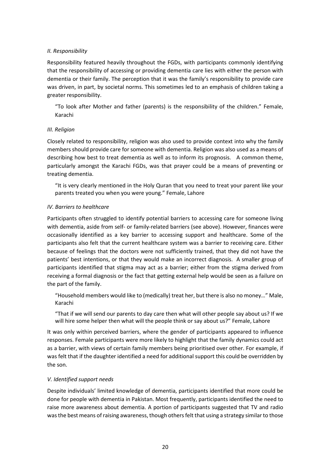#### <span id="page-27-0"></span>*II. Responsibility*

Responsibility featured heavily throughout the FGDs, with participants commonly identifying that the responsibility of accessing or providing dementia care lies with either the person with dementia or their family. The perception that it was the family's responsibility to provide care was driven, in part, by societal norms. This sometimes led to an emphasis of children taking a greater responsibility.

"To look after Mother and father (parents) is the responsibility of the children." Female, Karachi

#### <span id="page-27-1"></span>*III. Religion*

Closely related to responsibility, religion was also used to provide context into why the family members should provide care for someone with dementia. Religion was also used as a means of describing how best to treat dementia as well as to inform its prognosis. A common theme, particularly amongst the Karachi FGDs, was that prayer could be a means of preventing or treating dementia.

"It is very clearly mentioned in the Holy Quran that you need to treat your parent like your parents treated you when you were young." Female, Lahore

#### <span id="page-27-2"></span>*IV. Barriers to healthcare*

Participants often struggled to identify potential barriers to accessing care for someone living with dementia, aside from self- or family-related barriers (see above). However, finances were occasionally identified as a key barrier to accessing support and healthcare. Some of the participants also felt that the current healthcare system was a barrier to receiving care. Either because of feelings that the doctors were not sufficiently trained, that they did not have the patients' best intentions, or that they would make an incorrect diagnosis. A smaller group of participants identified that stigma may act as a barrier; either from the stigma derived from receiving a formal diagnosis or the fact that getting external help would be seen as a failure on the part of the family.

"Household members would like to (medically) treat her, but there is also no money…" Male, Karachi

"That if we will send our parents to day care then what will other people say about us? If we will hire some helper then what will the people think or say about us?" Female, Lahore

It was only within perceived barriers, where the gender of participants appeared to influence responses. Female participants were more likely to highlight that the family dynamics could act as a barrier, with views of certain family members being prioritised over other. For example, if was felt that if the daughter identified a need for additional support this could be overridden by the son.

### <span id="page-27-3"></span>*V. Identified support needs*

Despite individuals' limited knowledge of dementia, participants identified that more could be done for people with dementia in Pakistan. Most frequently, participants identified the need to raise more awareness about dementia. A portion of participants suggested that TV and radio was the best means of raising awareness, though others felt that using a strategy similar to those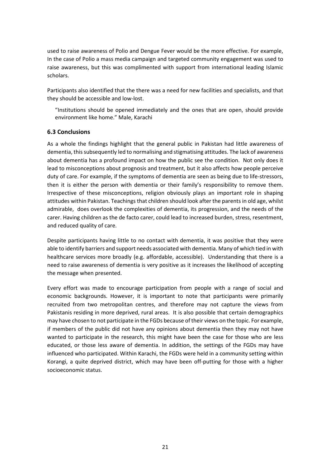used to raise awareness of Polio and Dengue Fever would be the more effective. For example, In the case of Polio a mass media campaign and targeted community engagement was used to raise awareness, but this was complimented with support from international leading Islamic scholars.

Participants also identified that the there was a need for new facilities and specialists, and that they should be accessible and low-lost.

"Institutions should be opened immediately and the ones that are open, should provide environment like home." Male, Karachi

### <span id="page-28-0"></span>**6.3 Conclusions**

As a whole the findings highlight that the general public in Pakistan had little awareness of dementia, this subsequently led to normalising and stigmatising attitudes. The lack of awareness about dementia has a profound impact on how the public see the condition. Not only does it lead to misconceptions about prognosis and treatment, but it also affects how people perceive duty of care. For example, if the symptoms of dementia are seen as being due to life-stressors, then it is either the person with dementia or their family's responsibility to remove them. Irrespective of these misconceptions, religion obviously plays an important role in shaping attitudes within Pakistan. Teachings that children should look after the parents in old age, whilst admirable, does overlook the complexities of dementia, its progression, and the needs of the carer. Having children as the de facto carer, could lead to increased burden, stress, resentment, and reduced quality of care.

Despite participants having little to no contact with dementia, it was positive that they were able to identify barriers and support needs associated with dementia. Many of which tied in with healthcare services more broadly (e.g. affordable, accessible). Understanding that there is a need to raise awareness of dementia is very positive as it increases the likelihood of accepting the message when presented.

Every effort was made to encourage participation from people with a range of social and economic backgrounds. However, it is important to note that participants were primarily recruited from two metropolitan centres, and therefore may not capture the views from Pakistanis residing in more deprived, rural areas. It is also possible that certain demographics may have chosen to not participate in the FGDs because of their views on the topic. For example, if members of the public did not have any opinions about dementia then they may not have wanted to participate in the research, this might have been the case for those who are less educated, or those less aware of dementia. In addition, the settings of the FGDs may have influenced who participated. Within Karachi, the FGDs were held in a community setting within Korangi, a quite deprived district, which may have been off-putting for those with a higher socioeconomic status.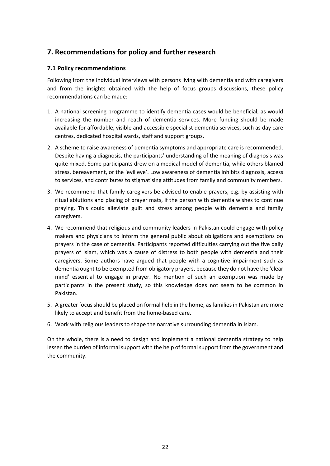# <span id="page-29-0"></span>**7. Recommendations for policy and further research**

## <span id="page-29-1"></span>**7.1 Policy recommendations**

Following from the individual interviews with persons living with dementia and with caregivers and from the insights obtained with the help of focus groups discussions, these policy recommendations can be made:

- 1. A national screening programme to identify dementia cases would be beneficial, as would increasing the number and reach of dementia services. More funding should be made available for affordable, visible and accessible specialist dementia services, such as day care centres, dedicated hospital wards, staff and support groups.
- 2. A scheme to raise awareness of dementia symptoms and appropriate care is recommended. Despite having a diagnosis, the participants' understanding of the meaning of diagnosis was quite mixed. Some participants drew on a medical model of dementia, while others blamed stress, bereavement, or the 'evil eye'. Low awareness of dementia inhibits diagnosis, access to services, and contributes to stigmatising attitudes from family and community members.
- 3. We recommend that family caregivers be advised to enable prayers, e.g. by assisting with ritual ablutions and placing of prayer mats, if the person with dementia wishes to continue praying. This could alleviate guilt and stress among people with dementia and family caregivers.
- 4. We recommend that religious and community leaders in Pakistan could engage with policy makers and physicians to inform the general public about obligations and exemptions on prayers in the case of dementia. Participants reported difficulties carrying out the five daily prayers of Islam, which was a cause of distress to both people with dementia and their caregivers. Some authors have argued that people with a cognitive impairment such as dementia ought to be exempted from obligatory prayers, because they do not have the 'clear mind' essential to engage in prayer. No mention of such an exemption was made by participants in the present study, so this knowledge does not seem to be common in Pakistan.
- 5. A greater focus should be placed on formal help in the home, as families in Pakistan are more likely to accept and benefit from the home-based care.
- 6. Work with religious leaders to shape the narrative surrounding dementia in Islam.

On the whole, there is a need to design and implement a national dementia strategy to help lessen the burden of informal support with the help of formal support from the government and the community.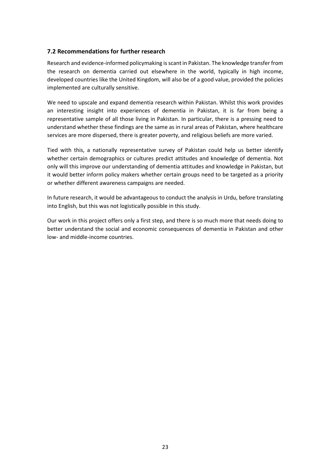#### <span id="page-30-0"></span>**7.2 Recommendations for further research**

Research and evidence-informed policymaking is scant in Pakistan. The knowledge transfer from the research on dementia carried out elsewhere in the world, typically in high income, developed countries like the United Kingdom, will also be of a good value, provided the policies implemented are culturally sensitive.

We need to upscale and expand dementia research within Pakistan. Whilst this work provides an interesting insight into experiences of dementia in Pakistan, it is far from being a representative sample of all those living in Pakistan. In particular, there is a pressing need to understand whether these findings are the same as in rural areas of Pakistan, where healthcare services are more dispersed, there is greater poverty, and religious beliefs are more varied.

Tied with this, a nationally representative survey of Pakistan could help us better identify whether certain demographics or cultures predict attitudes and knowledge of dementia. Not only will this improve our understanding of dementia attitudes and knowledge in Pakistan, but it would better inform policy makers whether certain groups need to be targeted as a priority or whether different awareness campaigns are needed.

In future research, it would be advantageous to conduct the analysis in Urdu, before translating into English, but this was not logistically possible in this study.

Our work in this project offers only a first step, and there is so much more that needs doing to better understand the social and economic consequences of dementia in Pakistan and other low- and middle-income countries.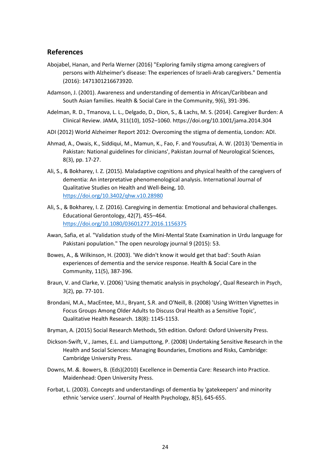# <span id="page-31-0"></span>**References**

- Abojabel, Hanan, and Perla Werner (2016) "Exploring family stigma among caregivers of persons with Alzheimer's disease: The experiences of Israeli-Arab caregivers." Dementia (2016): 1471301216673920.
- Adamson, J. (2001). Awareness and understanding of dementia in African/Caribbean and South Asian families. Health & Social Care in the Community, 9(6), 391-396.
- Adelman, R. D., Tmanova, L. L., Delgado, D., Dion, S., & Lachs, M. S. (2014). Caregiver Burden: A Clinical Review. JAMA, 311(10), 1052–1060. https://doi.org/10.1001/jama.2014.304
- ADI (2012) World Alzheimer Report 2012: Overcoming the stigma of dementia, London: ADI.
- Ahmad, A., Owais, K., Siddiqui, M., Mamun, K., Fao, F. and Yousufzai, A. W. (2013) 'Dementia in Pakistan: National guidelines for clinicians', Pakistan Journal of Neurological Sciences, 8(3), pp. 17-27.
- Ali, S., & Bokharey, I. Z. (2015). Maladaptive cognitions and physical health of the caregivers of dementia: An interpretative phenomenological analysis. International Journal of Qualitative Studies on Health and Well-Being, 10. <https://doi.org/10.3402/qhw.v10.28980>
- Ali, S., & Bokharey, I. Z. (2016). Caregiving in dementia: Emotional and behavioral challenges. Educational Gerontology, 42(7), 455–464. <https://doi.org/10.1080/03601277.2016.1156375>
- Awan, Safia, et al. "Validation study of the Mini-Mental State Examination in Urdu language for Pakistani population." The open neurology journal 9 (2015): 53.
- Bowes, A., & Wilkinson, H. (2003). 'We didn't know it would get that bad': South Asian experiences of dementia and the service response. Health & Social Care in the Community, 11(5), 387-396.
- Braun, V. and Clarke, V. (2006) 'Using thematic analysis in psychology', Qual Research in Psych, 3(2), pp. 77-101.
- Brondani, M.A., MacEntee, M.I., Bryant, S.R. and O'Neill, B. (2008) 'Using Written Vignettes in Focus Groups Among Older Adults to Discuss Oral Health as a Sensitive Topic', Qualitative Health Research. 18(8): 1145-1153.
- Bryman, A. (2015) Social Research Methods, 5th edition. Oxford: Oxford University Press.
- Dickson-Swift, V., James, E.L. and Liamputtong, P. (2008) Undertaking Sensitive Research in the Health and Social Sciences: Managing Boundaries, Emotions and Risks, Cambridge: Cambridge University Press.
- Downs, M. *&.* Bowers, B. (Eds)(2010) Excellence in Dementia Care: Research into Practice. Maidenhead: Open University Press.
- Forbat, L. (2003). Concepts and understandings of dementia by 'gatekeepers' and minority ethnic 'service users'. Journal of Health Psychology, 8(5), 645-655.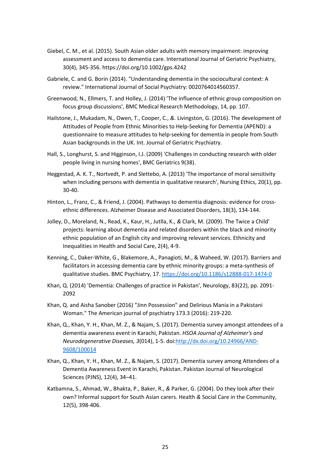- Giebel, C. M., et al. (2015). South Asian older adults with memory impairment: improving assessment and access to dementia care. International Journal of Geriatric Psychiatry, 30(4), 345-356.<https://doi.org/10.1002/gps.4242>
- Gabriele, C. and G. Borin (2014). "Understanding dementia in the sociocultural context: A review." International Journal of Social Psychiatry: 0020764014560357.
- Greenwood, N., Ellmers, T. and Holley, J. (2014) 'The influence of ethnic group composition on focus group discussions', BMC Medical Research Methodology, 14, pp. 107.
- Hailstone, J., Mukadam, N., Owen, T., Cooper, C., *&.* Livingston, G. (2016). The development of Attitudes of People from Ethnic Minorities to Help-Seeking for Dementia (APEND): a questionnaire to measure attitudes to help-seeking for dementia in people from South Asian backgrounds in the UK. Int. Journal of Geriatric Psychiatry.
- Hall, S., Longhurst, S. and Higginson, I.J. (2009) 'Challenges in conducting research with older people living in nursing homes', BMC Geriatrics 9(38).
- Heggestad, A. K. T., Nortvedt, P. and Slettebo, A. (2013) 'The importance of moral sensitivity when including persons with dementia in qualitative research', Nursing Ethics, 20(1), pp. 30-40.
- Hinton, L., Franz, C., & Friend, J. (2004). Pathways to dementia diagnosis: evidence for crossethnic differences. Alzheimer Disease and Associated Disorders, 18(3), 134-144.
- Jolley, D., Moreland, N., Read, K., Kaur, H., Jutlla, K., *&* Clark, M. (2009). The Twice a Child' projects: learning about dementia and related disorders within the black and minority ethnic population of an English city and improving relevant services. Ethnicity and Inequalities in Health and Social Care, 2(4), 4-9.
- Kenning, C., Daker-White, G., Blakemore, A., Panagioti, M., & Waheed, W. (2017). Barriers and facilitators in accessing dementia care by ethnic minority groups: a meta-synthesis of qualitative studies. BMC Psychiatry, 17[. https://doi.org/10.1186/s12888-017-1474-0](https://doi.org/10.1186/s12888-017-1474-0)
- Khan, Q. (2014) 'Dementia: Challenges of practice in Pakistan', Neurology, 83(22), pp. 2091- 2092
- Khan, Q. and Aisha Sanober (2016) "Jinn Possession" and Delirious Mania in a Pakistani Woman." The American journal of psychiatry 173.3 (2016): 219-220.
- Khan, Q., Khan, Y. H., Khan, M. Z., & Najam, S. (2017). Dementia survey amongst attendees of a dementia awareness event in Karachi, Pakistan. *HSOA Journal of Alzheimer's and Neurodegenerative Diseases, 3*(014), 1-5. doi:http://dx.doi.org/10.24966/AND-9608/100014
- Khan, Q., Khan, Y. H., Khan, M. Z., & Najam, S. (2017). Dementia survey among Attendees of a Dementia Awareness Event in Karachi, Pakistan. Pakistan Journal of Neurological Sciences (PJNS), 12(4), 34–41.
- Katbamna, S., Ahmad, W., Bhakta, P., Baker, R., *&* Parker, G. (2004). Do they look after their own? Informal support for South Asian carers. Health *&* Social Care in the Community, 12(5), 398-406.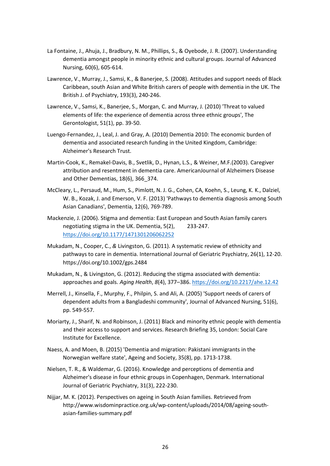- La Fontaine, J., Ahuja, J., Bradbury, N. M., Phillips, S., & Oyebode, J. R. (2007). Understanding dementia amongst people in minority ethnic and cultural groups. Journal of Advanced Nursing, 60(6), 605-614.
- Lawrence, V., Murray, J., Samsi, K., & Banerjee, S. (2008). Attitudes and support needs of Black Caribbean, south Asian and White British carers of people with dementia in the UK. The British J. of Psychiatry, 193(3), 240-246.
- Lawrence, V., Samsi, K., Banerjee, S., Morgan, C. and Murray, J. (2010) 'Threat to valued elements of life: the experience of dementia across three ethnic groups', The Gerontologist, 51(1), pp. 39-50.
- Luengo-Fernandez, J., Leal, J. and Gray, A. (2010) Dementia 2010: The economic burden of dementia and associated research funding in the United Kingdom, Cambridge: Alzheimer's Research Trust.
- Martin-Cook, K., Remakel-Davis, B., Svetlik, D., Hynan, L.S., & Weiner, M.F.(2003). Caregiver attribution and resentment in dementia care. AmericanJournal of Alzheimers Disease and Other Dementias, 18(6), 366\_374.
- McCleary, L., Persaud, M., Hum, S., Pimlott, N. J. G., Cohen, CA, Koehn, S., Leung, K. K., Dalziel, W. B., Kozak, J. and Emerson, V. F. (2013) 'Pathways to dementia diagnosis among South Asian Canadians', Dementia, 12(6), 769-789.
- Mackenzie, J. (2006). Stigma and dementia: East European and South Asian family carers negotiating stigma in the UK. Dementia, 5(2), 233-247. <https://doi.org/10.1177/1471301206062252>
- Mukadam, N., Cooper, C., *&* Livingston, G. (2011). A systematic review of ethnicity and pathways to care in dementia. International Journal of Geriatric Psychiatry, 26(1), 12-20. <https://doi.org/10.1002/gps.2484>
- Mukadam, N., & Livingston, G. (2012). Reducing the stigma associated with dementia: approaches and goals. *Aging Health*, *8*(4), 377–386.<https://doi.org/10.2217/ahe.12.42>
- Merrell, J., Kinsella, F., Murphy, F., Philpin, S. and Ali, A. (2005) 'Support needs of carers of dependent adults from a Bangladeshi community', Journal of Advanced Nursing, 51(6), pp. 549-557.
- Moriarty, J., Sharif, N. and Robinson, J. (2011) Black and minority ethnic people with dementia and their access to support and services. Research Briefing 35, London: Social Care Institute for Excellence.
- Naess, A. and Moen, B. (2015) 'Dementia and migration: Pakistani immigrants in the Norwegian welfare state', Ageing and Society, 35(8), pp. 1713-1738.
- Nielsen, T. R., & Waldemar, G. (2016). Knowledge and perceptions of dementia and Alzheimer's disease in four ethnic groups in Copenhagen, Denmark. International Journal of Geriatric Psychiatry, 31(3), 222-230.
- Nijjar, M. K. (2012). Perspectives on ageing in South Asian families. Retrieved from [http://www.wisdominpractice.org.uk/wp-content/uploads/2014/08/ageing-south](http://www.wisdominpractice.org.uk/wp-content/uploads/2014/08/ageing-south-asian-families-summary.pdf)[asian-families-summary.pdf](http://www.wisdominpractice.org.uk/wp-content/uploads/2014/08/ageing-south-asian-families-summary.pdf)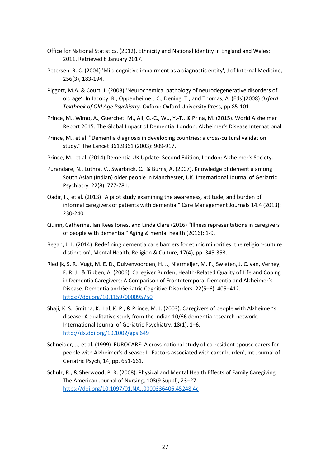- Office for National Statistics. (2012). Ethnicity and National Identity in England and Wales: 2011. Retrieved 8 January 2017.
- Petersen, R. C. (2004) 'Mild cognitive impairment as a diagnostic entity', J of Internal Medicine, 256(3), 183-194.
- Piggott, M.A. & Court, J. (2008) 'Neurochemical pathology of neurodegenerative disorders of old age'. In Jacoby, R., Oppenheimer, C., Dening, T., and Thomas, A. (Eds)(2008) *Oxford Textbook of Old Age Psychiatry.* Oxford: Oxford University Press, pp.85-101.
- Prince, M., Wimo, A., Guerchet, M., Ali, G.-C., Wu, Y.-T., *&* Prina, M. (2015). World Alzheimer Report 2015: The Global Impact of Dementia. London: Alzheimer's Disease International.
- Prince, M., et al. "Dementia diagnosis in developing countries: a cross-cultural validation study." The Lancet 361.9361 (2003): 909-917.
- Prince, M., et al. (2014) Dementia UK Update: Second Edition, London: Alzheimer's Society.
- Purandare, N., Luthra, V., Swarbrick, C., *&* Burns, A. (2007). Knowledge of dementia among South Asian (Indian) older people in Manchester, UK. International Journal of Geriatric Psychiatry, 22(8), 777-781.
- Qadir, F., et al. (2013) "A pilot study examining the awareness, attitude, and burden of informal caregivers of patients with dementia." Care Management Journals 14.4 (2013): 230-240.
- Quinn, Catherine, Ian Rees Jones, and Linda Clare (2016) "Illness representations in caregivers of people with dementia." Aging *&* mental health (2016): 1-9.
- Regan, J. L. (2014) 'Redefining dementia care barriers for ethnic minorities: the religion-culture distinction', Mental Health, Religion *&* Culture, 17(4), pp. 345-353.
- Riedijk, S. R., Vugt, M. E. D., Duivenvoorden, H. J., Niermeijer, M. F., Swieten, J. C. van, Verhey, F. R. J., & Tibben, A. (2006). Caregiver Burden, Health-Related Quality of Life and Coping in Dementia Caregivers: A Comparison of Frontotemporal Dementia and Alzheimer's Disease. Dementia and Geriatric Cognitive Disorders, 22(5–6), 405–412. <https://doi.org/10.1159/000095750>
- Shaji, K. S., Smitha, K., Lal, K. P., & Prince, M. J. (2003). Caregivers of people with Alzheimer's disease: A qualitative study from the Indian 10/66 dementia research network. International Journal of Geriatric Psychiatry, 18(1), 1–6. <http://dx.doi.org/10.1002/gps.649>
- Schneider, J., et al. (1999) 'EUROCARE: A cross-national study of co-resident spouse carers for people with Alzheimer's disease: I - Factors associated with carer burden', Int Journal of Geriatric Psych, 14, pp. 651-661.
- Schulz, R., & Sherwood, P. R. (2008). Physical and Mental Health Effects of Family Caregiving. The American Journal of Nursing, 108(9 Suppl), 23–27. <https://doi.org/10.1097/01.NAJ.0000336406.45248.4c>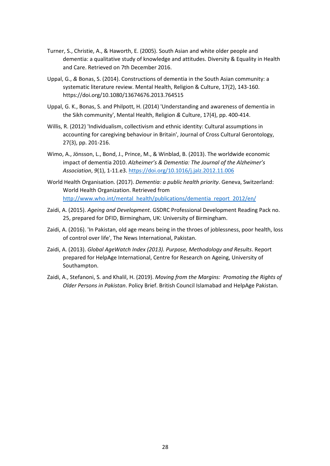- Turner, S., Christie, A., & Haworth, E. (2005). South Asian and white older people and dementia: a qualitative study of knowledge and attitudes. Diversity & Equality in Health and Care. Retrieved on 7th December 2016.
- Uppal, G., *&* Bonas, S. (2014). Constructions of dementia in the South Asian community: a systematic literature review. Mental Health, Religion & Culture, 17(2), 143-160. <https://doi.org/10.1080/13674676.2013.764515>
- Uppal, G. K., Bonas, S. and Philpott, H. (2014) 'Understanding and awareness of dementia in the Sikh community', Mental Health, Religion *&* Culture, 17(4), pp. 400-414.
- Willis, R. (2012) 'Individualism, collectivism and ethnic identity: Cultural assumptions in accounting for caregiving behaviour in Britain', Journal of Cross Cultural Gerontology, 27(3), pp. 201-216.
- Wimo, A., Jönsson, L., Bond, J., Prince, M., & Winblad, B. (2013). The worldwide economic impact of dementia 2010. *Alzheimer's & Dementia: The Journal of the Alzheimer's Association*, *9*(1), 1-11.e3[. https://doi.org/10.1016/j.jalz.2012.11.006](https://doi.org/10.1016/j.jalz.2012.11.006)
- World Health Organisation. (2017). *Dementia: a public health priority*. Geneva, Switzerland: World Health Organization. Retrieved from [http://www.who.int/mental\\_health/publications/dementia\\_report\\_2012/en/](http://www.who.int/mental_health/publications/dementia_report_2012/en/)
- Zaidi, A. (2015). *Ageing and Development*. GSDRC Professional Development Reading Pack no. 25, prepared for DFID, Birmingham, UK: University of Birmingham.
- Zaidi, A. (2016). 'In Pakistan, old age means being in the throes of joblessness, poor health, loss of control over life', The News International, Pakistan.
- Zaidi, A. (2013). *Global AgeWatch Index (2013). Purpose, Methodology and Results*. Report prepared for HelpAge International, Centre for Research on Ageing, University of Southampton.
- Zaidi, A., Stefanoni, S. and Khalil, H. (2019). *Moving from the Margins: Promoting the Rights of Older Persons in Pakistan*. Policy Brief. British Council Islamabad and HelpAge Pakistan.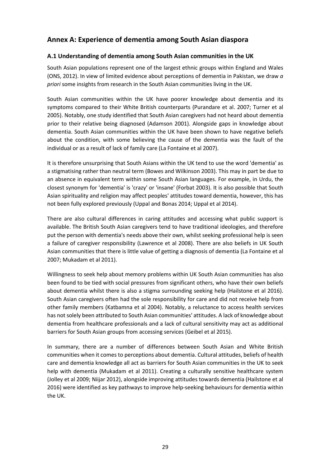# <span id="page-36-0"></span>**Annex A: Experience of dementia among South Asian diaspora**

# <span id="page-36-1"></span>**A.1 Understanding of dementia among South Asian communities in the UK**

South Asian populations represent one of the largest ethnic groups within England and Wales (ONS, 2012). In view of limited evidence about perceptions of dementia in Pakistan, we draw *a priori* some insights from research in the South Asian communities living in the UK.

South Asian communities within the UK have poorer knowledge about dementia and its symptoms compared to their White British counterparts (Purandare et al. 2007; Turner et al 2005). Notably, one study identified that South Asian caregivers had not heard about dementia prior to their relative being diagnosed (Adamson 2001). Alongside gaps in knowledge about dementia. South Asian communities within the UK have been shown to have negative beliefs about the condition, with some believing the cause of the dementia was the fault of the individual or as a result of lack of family care (La Fontaine et al 2007).

It is therefore unsurprising that South Asians within the UK tend to use the word 'dementia' as a stigmatising rather than neutral term (Bowes and Wilkinson 2003). This may in part be due to an absence in equivalent term within some South Asian languages. For example, in Urdu, the closest synonym for 'dementia' is 'crazy' or 'insane' (Forbat 2003). It is also possible that South Asian spirituality and religion may affect peoples' attitudes toward dementia, however, this has not been fully explored previously (Uppal and Bonas 2014; Uppal et al 2014).

There are also cultural differences in caring attitudes and accessing what public support is available. The British South Asian caregivers tend to have traditional ideologies, and therefore put the person with dementia's needs above their own, whilst seeking professional help is seen a failure of caregiver responsibility (Lawrence et al 2008). There are also beliefs in UK South Asian communities that there is little value of getting a diagnosis of dementia (La Fontaine et al 2007; Mukadam et al 2011).

Willingness to seek help about memory problems within UK South Asian communities has also been found to be tied with social pressures from significant others, who have their own beliefs about dementia whilst there is also a stigma surrounding seeking help (Hailstone et al 2016). South Asian caregivers often had the sole responsibility for care and did not receive help from other family members (Katbamna et al 2004). Notably, a reluctance to access health services has not solely been attributed to South Asian communities' attitudes. A lack of knowledge about dementia from healthcare professionals and a lack of cultural sensitivity may act as additional barriers for South Asian groups from accessing services (Geibel et al 2015).

In summary, there are a number of differences between South Asian and White British communities when it comes to perceptions about dementia. Cultural attitudes, beliefs of health care and dementia knowledge all act as barriers for South Asian communities in the UK to seek help with dementia (Mukadam et al 2011). Creating a culturally sensitive healthcare system (Jolley et al 2009; Niijar 2012), alongside improving attitudes towards dementia (Hailstone et al 2016) were identified as key pathways to improve help-seeking behaviours for dementia within the UK.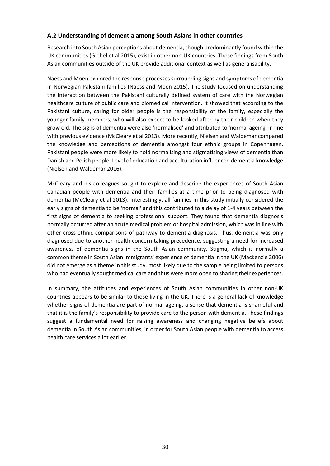### <span id="page-37-0"></span>**A.2 Understanding of dementia among South Asians in other countries**

Research into South Asian perceptions about dementia, though predominantly found within the UK communities (Giebel et al 2015), exist in other non-UK countries. These findings from South Asian communities outside of the UK provide additional context as well as generalisability.

Naess and Moen explored the response processes surrounding signs and symptoms of dementia in Norwegian-Pakistani families (Naess and Moen 2015). The study focused on understanding the interaction between the Pakistani culturally defined system of care with the Norwegian healthcare culture of public care and biomedical intervention. It showed that according to the Pakistani culture, caring for older people is the responsibility of the family, especially the younger family members, who will also expect to be looked after by their children when they grow old. The signs of dementia were also 'normalised' and attributed to 'normal ageing' in line with previous evidence (McCleary et al 2013). More recently, Nielsen and Waldemar compared the knowledge and perceptions of dementia amongst four ethnic groups in Copenhagen. Pakistani people were more likely to hold normalising and stigmatising views of dementia than Danish and Polish people. Level of education and acculturation influenced dementia knowledge (Nielsen and Waldemar 2016).

McCleary and his colleagues sought to explore and describe the experiences of South Asian Canadian people with dementia and their families at a time prior to being diagnosed with dementia (McCleary et al 2013). Interestingly, all families in this study initially considered the early signs of dementia to be 'normal' and this contributed to a delay of 1-4 years between the first signs of dementia to seeking professional support. They found that dementia diagnosis normally occurred after an acute medical problem or hospital admission, which was in line with other cross-ethnic comparisons of pathway to dementia diagnosis. Thus, dementia was only diagnosed due to another health concern taking precedence, suggesting a need for increased awareness of dementia signs in the South Asian community. Stigma, which is normally a common theme in South Asian immigrants' experience of dementia in the UK (Mackenzie 2006) did not emerge as a theme in this study, most likely due to the sample being limited to persons who had eventually sought medical care and thus were more open to sharing their experiences.

In summary, the attitudes and experiences of South Asian communities in other non-UK countries appears to be similar to those living in the UK. There is a general lack of knowledge whether signs of dementia are part of normal ageing, a sense that dementia is shameful and that it is the family's responsibility to provide care to the person with dementia. These findings suggest a fundamental need for raising awareness and changing negative beliefs about dementia in South Asian communities, in order for South Asian people with dementia to access health care services a lot earlier.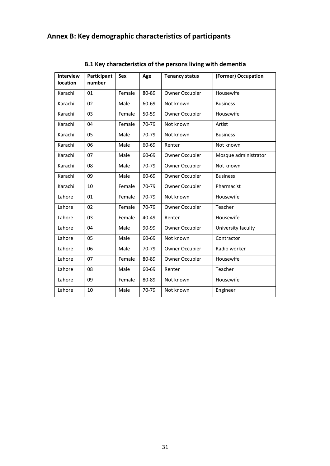# <span id="page-38-0"></span>**Annex B: Key demographic characteristics of participants**

<span id="page-38-1"></span>

| <b>Interview</b><br>location | Participant<br>number | <b>Sex</b> | Age   | <b>Tenancy status</b> | (Former) Occupation  |
|------------------------------|-----------------------|------------|-------|-----------------------|----------------------|
| Karachi                      | 01                    | Female     | 80-89 | Owner Occupier        | Housewife            |
| Karachi                      | 02                    | Male       | 60-69 | Not known             | <b>Business</b>      |
| Karachi                      | 03                    | Female     | 50-59 | Owner Occupier        | Housewife            |
| Karachi                      | 04                    | Female     | 70-79 | Not known             | Artist               |
| Karachi                      | 05                    | Male       | 70-79 | Not known             | <b>Business</b>      |
| Karachi                      | 06                    | Male       | 60-69 | Renter                | Not known            |
| Karachi                      | 07                    | Male       | 60-69 | Owner Occupier        | Mosque administrator |
| Karachi                      | 08                    | Male       | 70-79 | Owner Occupier        | Not known            |
| Karachi                      | 09                    | Male       | 60-69 | Owner Occupier        | <b>Business</b>      |
| Karachi                      | 10                    | Female     | 70-79 | Owner Occupier        | Pharmacist           |
| Lahore                       | 01                    | Female     | 70-79 | Not known             | Housewife            |
| Lahore                       | 02                    | Female     | 70-79 | <b>Owner Occupier</b> | Teacher              |
| Lahore                       | 03                    | Female     | 40-49 | Renter                | Housewife            |
| Lahore                       | 04                    | Male       | 90-99 | Owner Occupier        | University faculty   |
| Lahore                       | 05                    | Male       | 60-69 | Not known             | Contractor           |
| Lahore                       | 06                    | Male       | 70-79 | Owner Occupier        | Radio worker         |
| Lahore                       | 07                    | Female     | 80-89 | Owner Occupier        | Housewife            |
| Lahore                       | 08                    | Male       | 60-69 | Renter                | Teacher              |
| Lahore                       | 09                    | Female     | 80-89 | Not known             | Housewife            |
| Lahore                       | 10                    | Male       | 70-79 | Not known             | Engineer             |

**B.1 Key characteristics of the persons living with dementia**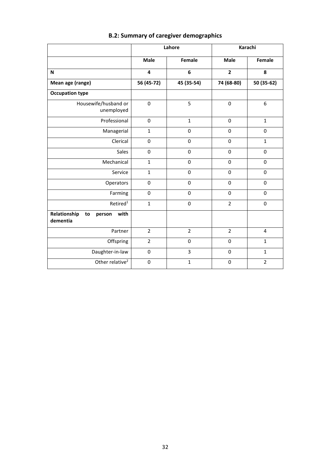<span id="page-39-0"></span>

|                                                  | Lahore                  |                | Karachi        |                |
|--------------------------------------------------|-------------------------|----------------|----------------|----------------|
|                                                  | <b>Male</b>             | Female         | <b>Male</b>    | <b>Female</b>  |
| N                                                | $\overline{\mathbf{4}}$ | 6              | $\overline{2}$ | 8              |
| Mean age (range)                                 | 56 (45-72)              | 45 (35-54)     | 74 (68-80)     | 50 (35-62)     |
| <b>Occupation type</b>                           |                         |                |                |                |
| Housewife/husband or<br>unemployed               | $\mathbf 0$             | 5              | $\mathbf 0$    | 6              |
| Professional                                     | $\mathbf 0$             | $\mathbf{1}$   | $\mathbf 0$    | $\mathbf{1}$   |
| Managerial                                       | $\mathbf{1}$            | $\Omega$       | $\Omega$       | $\mathbf 0$    |
| Clerical                                         | $\mathbf 0$             | 0              | 0              | $\mathbf{1}$   |
| Sales                                            | $\mathbf 0$             | 0              | $\mathbf 0$    | $\mathbf 0$    |
| Mechanical                                       | $\mathbf{1}$            | 0              | 0              | 0              |
| Service                                          | $\mathbf 1$             | 0              | $\Omega$       | $\mathbf 0$    |
| Operators                                        | $\pmb{0}$               | 0              | 0              | 0              |
| Farming                                          | $\pmb{0}$               | 0              | $\mathbf 0$    | 0              |
| Retired <sup>1</sup>                             | $\mathbf 1$             | 0              | $\overline{2}$ | 0              |
| Relationship<br>with<br>to<br>person<br>dementia |                         |                |                |                |
| Partner                                          | $\overline{2}$          | $\overline{2}$ | $\overline{2}$ | 4              |
| Offspring                                        | $\overline{2}$          | 0              | 0              | $\mathbf{1}$   |
| Daughter-in-law                                  | $\pmb{0}$               | $\overline{3}$ | 0              | $\mathbf{1}$   |
| Other relative <sup>2</sup>                      | $\mathbf 0$             | $\mathbf{1}$   | 0              | $\overline{2}$ |

# **B.2: Summary of caregiver demographics**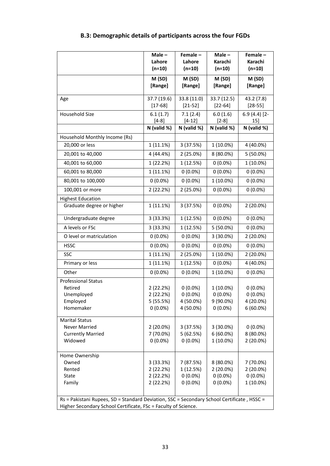<span id="page-40-0"></span>

|                                                                                            | $Male -$<br>Lahore<br>$(n=10)$ | Female-<br>Lahore<br>$(n=10)$ | $Male -$<br>Karachi<br>$(n=10)$ | Female-<br>Karachi<br>$(n=10)$ |
|--------------------------------------------------------------------------------------------|--------------------------------|-------------------------------|---------------------------------|--------------------------------|
|                                                                                            | M (SD)<br>[Range]              | M (SD)<br>[Range]             | M (SD)<br>[Range]               | M (SD)<br>[Range]              |
| Age                                                                                        | 37.7 (19.6)<br>$[17 - 68]$     | 33.8 (11.0)<br>$[21 - 52]$    | 33.7 (12.5)<br>$[22 - 64]$      | 43.2 (7.8)<br>$[28 - 55]$      |
| Household Size                                                                             | 6.1(1.7)<br>$[4-8]$            | 7.1(2.4)<br>$[4-12]$          | 6.0(1.6)<br>$[2-8]$             | $6.9(4.4)[2-$<br>15]           |
|                                                                                            | N (valid %)                    | N (valid %)                   | N (valid %)                     | N (valid %)                    |
| Household Monthly Income (Rs)                                                              |                                |                               |                                 |                                |
| 20,000 or less                                                                             | 1(11.1%)                       | 3 (37.5%)                     | 1 (10.0%)                       | 4 (40.0%)                      |
| 20,001 to 40,000                                                                           | 4 (44.4%)                      | 2 (25.0%)                     | 8 (80.0%)                       | $5(50.0\%)$                    |
| 40,001 to 60,000                                                                           | 1 (22.2%)                      | 1 (12.5%)                     | $0(0.0\%)$                      | 1 (10.0%)                      |
| 60,001 to 80,000                                                                           | 1 (11.1%)                      | $0(0.0\%)$                    | $0(0.0\%)$                      | $0(0.0\%)$                     |
| 80,001 to 100,000                                                                          | $0(0.0\%)$                     | $0(0.0\%)$                    | 1 (10.0%)                       | $0(0.0\%)$                     |
| 100,001 or more                                                                            | 2(22.2%)                       | 2 (25.0%)                     | $0(0.0\%)$                      | $0(0.0\%)$                     |
| <b>Highest Education</b>                                                                   |                                |                               |                                 |                                |
| Graduate degree or higher                                                                  | 1 (11.1%)                      | 3 (37.5%)                     | $0(0.0\%)$                      | 2 (20.0%)                      |
| Undergraduate degree                                                                       | 3(33.3%)                       | 1 (12.5%)                     | $0(0.0\%)$                      | $0(0.0\%)$                     |
| A levels or FSc                                                                            | 3(33.3%)                       | 1 (12.5%)                     | 5 (50.0%)                       | $0(0.0\%)$                     |
| O level or matriculation                                                                   | $0(0.0\%)$                     | $0(0.0\%)$                    | 3 (30.0%)                       | 2 (20.0%)                      |
| <b>HSSC</b>                                                                                | $0(0.0\%)$                     | $0(0.0\%)$                    | $0(0.0\%)$                      | $0(0.0\%)$                     |
| <b>SSC</b>                                                                                 | 1 (11.1%)                      | 2 (25.0%)                     | 1 (10.0%)                       | 2 (20.0%)                      |
| Primary or less                                                                            | $1(11.1\%)$                    | 1 (12.5%)                     | $0(0.0\%)$                      | 4 (40.0%)                      |
| Other                                                                                      | $0(0.0\%)$                     | $0(0.0\%)$                    | 1 (10.0%)                       | $0(0.0\%)$                     |
| <b>Professional Status</b>                                                                 |                                |                               |                                 |                                |
| Retired<br>Unemployed                                                                      | 2 (22.2%)<br>2 (22.2%)         | $0(0.0\%)$<br>$0(0.0\%)$      | 1 (10.0%)<br>$0(0.0\%)$         | $0(0.0\%)$<br>$0(0.0\%)$       |
| Employed                                                                                   | 5 (55.5%)                      | 4 (50.0%)                     | 9 (90.0%)                       | 4 (20.0%)                      |
| Homemaker                                                                                  | $0(0.0\%)$                     | 4 (50.0%)                     | $0(0.0\%)$                      | $6(60.0\%)$                    |
|                                                                                            |                                |                               |                                 |                                |
| <b>Marital Status</b><br><b>Never Married</b>                                              | 2 (20.0%)                      | 3 (37.5%)                     | 3 (30.0%)                       | $0(0.0\%)$                     |
| <b>Currently Married</b>                                                                   | 7 (70.0%)                      | 5(62.5%)                      | $6(60.0\%)$                     | 8 (80.0%)                      |
| Widowed                                                                                    | $0(0.0\%)$                     | $0(0.0\%)$                    | 1 (10.0%)                       | $2(20.0\%)$                    |
|                                                                                            |                                |                               |                                 |                                |
| Home Ownership                                                                             |                                |                               |                                 |                                |
| Owned                                                                                      | 3 (33.3%)                      | 7 (87.5%)                     | 8 (80.0%)                       | 7 (70.0%)                      |
| Rented                                                                                     | 2(22.2%)                       | 1 (12.5%)                     | 2 (20.0%)                       | 2 (20.0%)                      |
| State                                                                                      | 2(22.2%)                       | $0(0.0\%)$                    | $0(0.0\%)$                      | $0(0.0\%)$                     |
| Family                                                                                     | 2(22.2%)                       | $0(0.0\%)$                    | $0(0.0\%)$                      | 1 (10.0%)                      |
|                                                                                            |                                |                               |                                 |                                |
| Rs = Pakistani Rupees, SD = Standard Deviation, SSC = Secondary School Certificate, HSSC = |                                |                               |                                 |                                |
| Higher Secondary School Certificate, FSc = Faculty of Science.                             |                                |                               |                                 |                                |

# **B.3: Demographic details of participants across the four FGDs**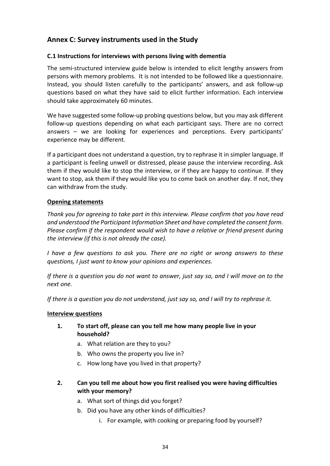# <span id="page-41-0"></span>**Annex C: Survey instruments used in the Study**

# <span id="page-41-1"></span>**C.1 Instructions for interviews with persons living with dementia**

The semi-structured interview guide below is intended to elicit lengthy answers from persons with memory problems. It is not intended to be followed like a questionnaire. Instead, you should listen carefully to the participants' answers, and ask follow-up questions based on what they have said to elicit further information. Each interview should take approximately 60 minutes.

We have suggested some follow-up probing questions below, but you may ask different follow-up questions depending on what each participant says. There are no correct answers – we are looking for experiences and perceptions. Every participants' experience may be different.

If a participant does not understand a question, try to rephrase it in simpler language. If a participant is feeling unwell or distressed, please pause the interview recording. Ask them if they would like to stop the interview, or if they are happy to continue. If they want to stop, ask them if they would like you to come back on another day. If not, they can withdraw from the study.

## **Opening statements**

*Thank you for agreeing to take part in this interview. Please confirm that you have read and understood the Participant Information Sheet and have completed the consent form. Please confirm if the respondent would wish to have a relative or friend present during the interview (if this is not already the case).* 

*I have a few questions to ask you. There are no right or wrong answers to these questions, I just want to know your opinions and experiences.* 

*If there is a question you do not want to answer, just say so, and I will move on to the next one.* 

*If there is a question you do not understand, just say so, and I will try to rephrase it.* 

### **Interview questions**

# **1. To start off, please can you tell me how many people live in your household?**

- a. What relation are they to you?
- b. Who owns the property you live in?
- c. How long have you lived in that property?
- **2. Can you tell me about how you first realised you were having difficulties with your memory?** 
	- a. What sort of things did you forget?
	- b. Did you have any other kinds of difficulties?
		- i. For example, with cooking or preparing food by yourself?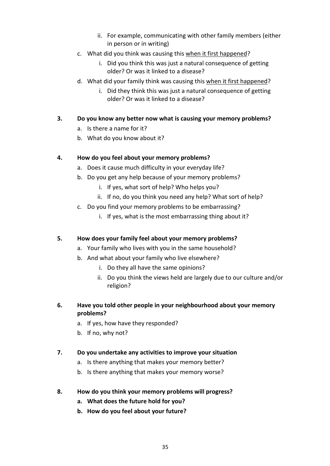- ii. For example, communicating with other family members (either in person or in writing)
- c. What did you think was causing this when it first happened?
	- i. Did you think this was just a natural consequence of getting older? Or was it linked to a disease?
- d. What did your family think was causing this when it first happened?
	- i. Did they think this was just a natural consequence of getting older? Or was it linked to a disease?
- **3. Do you know any better now what is causing your memory problems?** 
	- a. Is there a name for it?
	- b. What do you know about it?

# **4. How do you feel about your memory problems?**

- a. Does it cause much difficulty in your everyday life?
- b. Do you get any help because of your memory problems?
	- i. If yes, what sort of help? Who helps you?
	- ii. If no, do you think you need any help? What sort of help?
- c. Do you find your memory problems to be embarrassing?
	- i. If yes, what is the most embarrassing thing about it?

# **5. How does your family feel about your memory problems?**

- a. Your family who lives with you in the same household?
- b. And what about your family who live elsewhere?
	- i. Do they all have the same opinions?
	- ii. Do you think the views held are largely due to our culture and/or religion?
- **6. Have you told other people in your neighbourhood about your memory problems?** 
	- a. If yes, how have they responded?
	- b. If no, why not?
- **7. Do you undertake any activities to improve your situation** 
	- a. Is there anything that makes your memory better?
	- b. Is there anything that makes your memory worse?
- **8. How do you think your memory problems will progress?** 
	- **a. What does the future hold for you?**
	- **b. How do you feel about your future?**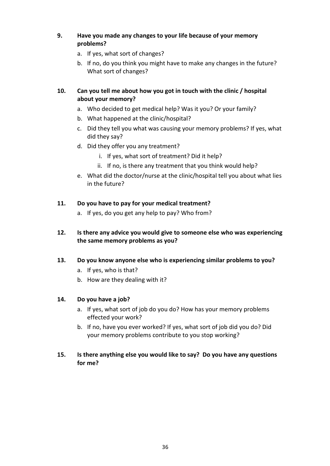# **9. Have you made any changes to your life because of your memory problems?**

- a. If yes, what sort of changes?
- b. If no, do you think you might have to make any changes in the future? What sort of changes?

# **10. Can you tell me about how you got in touch with the clinic / hospital about your memory?**

- a. Who decided to get medical help? Was it you? Or your family?
- b. What happened at the clinic/hospital?
- c. Did they tell you what was causing your memory problems? If yes, what did they say?
- d. Did they offer you any treatment?
	- i. If yes, what sort of treatment? Did it help?
	- ii. If no, is there any treatment that you think would help?
- e. What did the doctor/nurse at the clinic/hospital tell you about what lies in the future?

# **11. Do you have to pay for your medical treatment?**

a. If yes, do you get any help to pay? Who from?

# **12. Is there any advice you would give to someone else who was experiencing the same memory problems as you?**

# **13. Do you know anyone else who is experiencing similar problems to you?**

- a. If yes, who is that?
- b. How are they dealing with it?

# **14. Do you have a job?**

- a. If yes, what sort of job do you do? How has your memory problems effected your work?
- b. If no, have you ever worked? If yes, what sort of job did you do? Did your memory problems contribute to you stop working?

# **15. Is there anything else you would like to say? Do you have any questions for me?**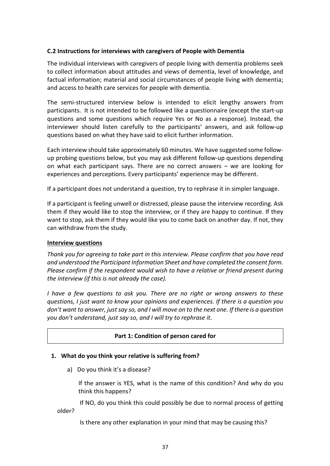### <span id="page-44-0"></span>**C.2 Instructions for interviews with caregivers of People with Dementia**

The individual interviews with caregivers of people living with dementia problems seek to collect information about attitudes and views of dementia, level of knowledge, and factual information; material and social circumstances of people living with dementia; and access to health care services for people with dementia.

The semi-structured interview below is intended to elicit lengthy answers from participants. It is not intended to be followed like a questionnaire (except the start-up questions and some questions which require Yes or No as a response). Instead, the interviewer should listen carefully to the participants' answers, and ask follow-up questions based on what they have said to elicit further information.

Each interview should take approximately 60 minutes. We have suggested some followup probing questions below, but you may ask different follow-up questions depending on what each participant says. There are no correct answers – we are looking for experiences and perceptions. Every participants' experience may be different.

If a participant does not understand a question, try to rephrase it in simpler language.

If a participant is feeling unwell or distressed, please pause the interview recording. Ask them if they would like to stop the interview, or if they are happy to continue. If they want to stop, ask them if they would like you to come back on another day. If not, they can withdraw from the study.

### **Interview questions**

*Thank you for agreeing to take part in this interview. Please confirm that you have read and understood the Participant Information Sheet and have completed the consent form. Please confirm if the respondent would wish to have a relative or friend present during the interview (if this is not already the case).* 

*I have a few questions to ask you. There are no right or wrong answers to these questions, I just want to know your opinions and experiences. If there is a question you don't want to answer, just say so, and I will move on to the next one. If there is a question you don't understand, just say so, and I will try to rephrase it.* 

### **Part 1: Condition of person cared for**

### **1. What do you think your relative is suffering from?**

a) Do you think it's a disease?

If the answer is YES, what is the name of this condition? And why do you think this happens?

 If NO, do you think this could possibly be due to normal process of getting older?

Is there any other explanation in your mind that may be causing this?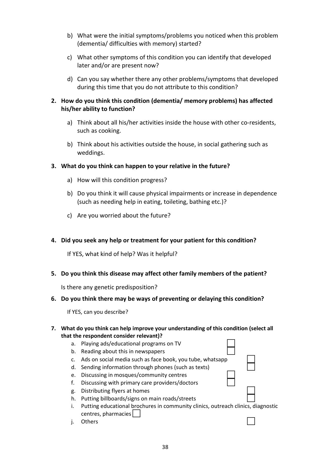- b) What were the initial symptoms/problems you noticed when this problem (dementia/ difficulties with memory) started?
- c) What other symptoms of this condition you can identify that developed later and/or are present now?
- d) Can you say whether there any other problems/symptoms that developed during this time that you do not attribute to this condition?

# **2. How do you think this condition (dementia/ memory problems) has affected his/her ability to function?**

- a) Think about all his/her activities inside the house with other co-residents, such as cooking.
- b) Think about his activities outside the house, in social gathering such as weddings.

## **3. What do you think can happen to your relative in the future?**

- a) How will this condition progress?
- b) Do you think it will cause physical impairments or increase in dependence (such as needing help in eating, toileting, bathing etc.)?
- c) Are you worried about the future?

# **4. Did you seek any help or treatment for your patient for this condition?**

If YES, what kind of help? Was it helpful?

### **5. Do you think this disease may affect other family members of the patient?**

Is there any genetic predisposition?

### **6. Do you think there may be ways of preventing or delaying this condition?**

If YES, can you describe?

### **7. What do you think can help improve your understanding of this condition (select all that the respondent consider relevant)?**

- a. Playing ads/educational programs on TV b. Reading about this in newspapers c. Ads on social media such as face book, you tube, whatsapp d. Sending information through phones (such as texts) e. Discussing in mosques/community centres f. Discussing with primary care providers/doctors g. Distributing flyers at homes h. Putting billboards/signs on main roads/streets
- i. Putting educational brochures in community clinics, outreach clinics, diagnostic centres, pharmacies
- j. Others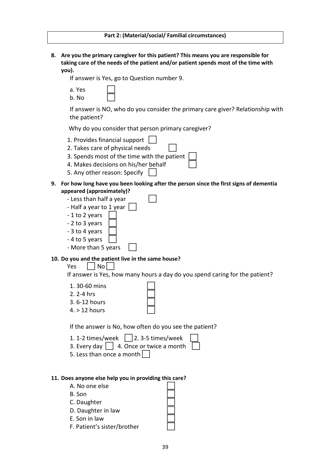**8. Are you the primary caregiver for this patient? This means you are responsible for taking care of the needs of the patient and/or patient spends most of the time with you).**

If answer is Yes, go to Question number 9.

- a. Yes
- b. No

If answer is NO, who do you consider the primary care giver? Relationship with the patient?

Why do you consider that person primary caregiver?

- 1. Provides financial support
- 2. Takes care of physical needs
- 3. Spends most of the time with the patient
- 4. Makes decisions on his/her behalf
- 5. Any other reason: Specify
- **9. For how long have you been looking after the person since the first signs of dementia appeared (approximately)?** 
	- Less than half a year - Half a year to 1 year  $\lceil$
	- 1 to 2 years
	- 2 to 3 years
	- 3 to 4 years
	- 4 to 5 years
	- More than 5 years

#### **10. Do you and the patient live in the same house?**

 $Yes \mid |No|$ 

If answer is Yes, how many hours a day do you spend caring for the patient?

- 1. 30-60 mins
- 2. 2-4 hrs
- 3. 6-12 hours
- 4. > 12 hours

If the answer is No, how often do you see the patient?

1. 1-2 times/week  $\Box$  2. 3-5 times/week  $\Box$ 

- 3. Every day  $\vert$  | 4. Once or twice a more
- 5. Less than once a month

| nth |  |
|-----|--|
|     |  |
|     |  |

#### **11. Does anyone else help you in providing this care?**

A. No one else B. Son C. Daughter D. Daughter in law E. Son in law F. Patient's sister/brother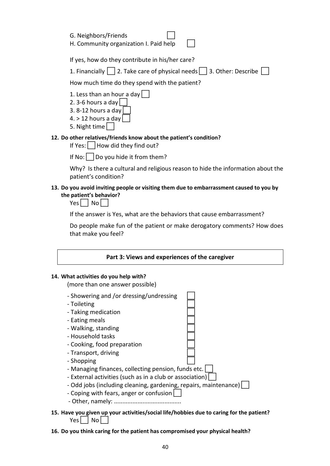| $\perp$<br>G. Neighbors/Friends        |  |
|----------------------------------------|--|
| H. Community organization I. Paid help |  |

If yes, how do they contribute in his/her care?

1. Financially  $\Box$  2. Take care of physical needs  $\Box$  3. Other: Describe  $\Box$ 

How much time do they spend with the patient?

- 1. Less than an hour a day
- 2. 3-6 hours a day
- 3. 8-12 hours a day
- 4.  $>$  12 hours a day
- 5. Night time

# **12. Do other relatives/friends know about the patient's condition?**

If Yes: | | How did they find out?

If No:  $\Box$  Do you hide it from them?

Why? Is there a cultural and religious reason to hide the information about the patient's condition?

## **13. Do you avoid inviting people or visiting them due to embarrassment caused to you by the patient's behavior?**

 $Yes$   $|$   $No$   $|$ 

If the answer is Yes, what are the behaviors that cause embarrassment?

Do people make fun of the patient or make derogatory comments? How does that make you feel?

| Part 3: Views and experiences of the caregiver |  |
|------------------------------------------------|--|
|------------------------------------------------|--|

### **14. What activities do you help with?**

(more than one answer possible)



 $Yes \mid \text{No}$ 

**16. Do you think caring for the patient has compromised your physical health?**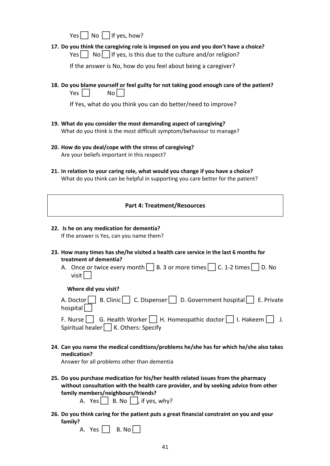$Yes \n\begin{array}{|c|c|} \n\hline \n\end{array} No \n\begin{array}{|c|c|} \n\hline \n\end{array} If yes, how?$ 

**17. Do you think the caregiving role is imposed on you and you don't have a choice?**   $Yes \mid \text{No} \mid \text{If yes, is this due to the culture and/or religion?}$ 

If the answer is No, how do you feel about being a caregiver?

**18. Do you blame yourself or feel guilty for not taking good enough care of the patient?**   $Yes  $|$  No$ 

If Yes, what do you think you can do better/need to improve?

- **19. What do you consider the most demanding aspect of caregiving?**  What do you think is the most difficult symptom/behaviour to manage?
- **20. How do you deal/cope with the stress of caregiving?**  Are your beliefs important in this respect?
- **21. In relation to your caring role, what would you change if you have a choice?**  What do you think can be helpful in supporting you care better for the patient?

|  | <b>Part 4: Treatment/Resources</b> |
|--|------------------------------------|
|--|------------------------------------|

- **22. Is he on any medication for dementia?**  If the answer is Yes, can you name them?
- **23. How many times has she/he visited a health care service in the last 6 months for treatment of dementia?** 
	- A. Once or twice every month  $\Box$  B. 3 or more times  $\Box$  C. 1-2 times  $\Box$  D. No visit | |

#### **Where did you visit?**

| A. Doctor B. Clinic C. Dispenser D. Government hospital E. Private         |
|----------------------------------------------------------------------------|
| hospital $\Box$                                                            |
| F. Nurse G. Health Worker H. Homeopathic doctor $\Box$ I. Hakeem $\Box$ J. |
| Spiritual healer $\Box$ K. Others: Specify                                 |

- 
- **24. Can you name the medical conditions/problems he/she has for which he/she also takes medication?**

Answer for all problems other than dementia

**25. Do you purchase medication for his/her health related issues from the pharmacy without consultation with the health care provider, and by seeking advice from other family members/neighbours/friends?** 

A.  $Yes \nightharpoonup B. No \nightharpoonup$ , if yes, why?

**26. Do you think caring for the patient puts a great financial constraint on you and your family?** 

| Yρς | No.<br>B. |
|-----|-----------|
|-----|-----------|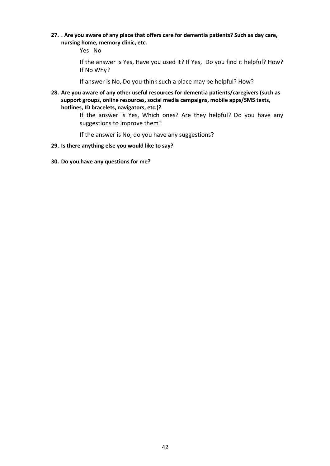**27. . Are you aware of any place that offers care for dementia patients? Such as day care, nursing home, memory clinic, etc.** 

Yes No

If the answer is Yes, Have you used it? If Yes, Do you find it helpful? How? If No Why?

If answer is No, Do you think such a place may be helpful? How?

**28. Are you aware of any other useful resources for dementia patients/caregivers (such as support groups, online resources, social media campaigns, mobile apps/SMS texts, hotlines, ID bracelets, navigators, etc.)?** 

> If the answer is Yes, Which ones? Are they helpful? Do you have any suggestions to improve them?

If the answer is No, do you have any suggestions?

- **29. Is there anything else you would like to say?**
- **30. Do you have any questions for me?**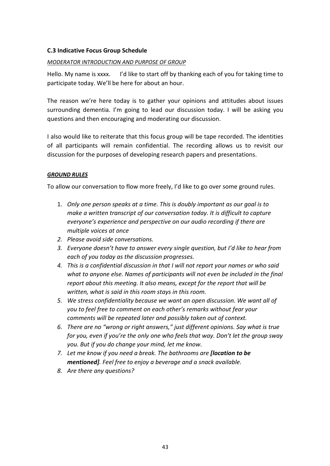# <span id="page-50-0"></span>**C.3 Indicative Focus Group Schedule**

## *MODERATOR INTRODUCTION AND PURPOSE OF GROUP*

Hello. My name is xxxx. I'd like to start off by thanking each of you for taking time to participate today. We'll be here for about an hour.

The reason we're here today is to gather your opinions and attitudes about issues surrounding dementia. I'm going to lead our discussion today. I will be asking you questions and then encouraging and moderating our discussion.

I also would like to reiterate that this focus group will be tape recorded. The identities of all participants will remain confidential. The recording allows us to revisit our discussion for the purposes of developing research papers and presentations.

## *GROUND RULES*

To allow our conversation to flow more freely, I'd like to go over some ground rules.

- 1. *Only one person speaks at a time. This is doubly important as our goal is to make a written transcript of our conversation today. It is difficult to capture everyone's experience and perspective on our audio recording if there are multiple voices at once*
- *2. Please avoid side conversations.*
- *3. Everyone doesn't have to answer every single question, but I'd like to hear from each of you today as the discussion progresses.*
- *4. This is a confidential discussion in that I will not report your names or who said*  what to anyone else. Names of participants will not even be included in the final *report about this meeting. It also means, except for the report that will be written, what is said in this room stays in this room.*
- *5. We stress confidentiality because we want an open discussion. We want all of you to feel free to comment on each other's remarks without fear your comments will be repeated later and possibly taken out of context.*
- *6. There are no "wrong or right answers," just different opinions. Say what is true for you, even if you're the only one who feels that way. Don't let the group sway you. But if you do change your mind, let me know.*
- *7. Let me know if you need a break. The bathrooms are [location to be mentioned]. Feel free to enjoy a beverage and a snack available.*
- *8. Are there any questions?*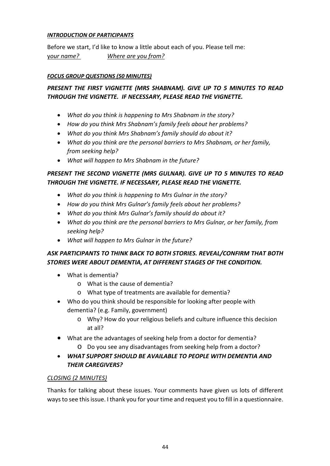# *INTRODUCTION OF PARTICIPANTS*

Before we start, I'd like to know a little about each of you. Please tell me: y*our name? Where are you from?*

# *FOCUS GROUP QUESTIONS (50 MINUTES)*

# *PRESENT THE FIRST VIGNETTE (MRS SHABNAM). GIVE UP TO 5 MINUTES TO READ THROUGH THE VIGNETTE. IF NECESSARY, PLEASE READ THE VIGNETTE.*

- *What do you think is happening to Mrs Shabnam in the story?*
- *How do you think Mrs Shabnam's family feels about her problems?*
- *What do you think Mrs Shabnam's family should do about it?*
- *What do you think are the personal barriers to Mrs Shabnam, or her family, from seeking help?*
- *What will happen to Mrs Shabnam in the future?*

# *PRESENT THE SECOND VIGNETTE (MRS GULNAR). GIVE UP TO 5 MINUTES TO READ THROUGH THE VIGNETTE. IF NECESSARY, PLEASE READ THE VIGNETTE.*

- *What do you think is happening to Mrs Gulnar in the story?*
- *How do you think Mrs Gulnar's family feels about her problems?*
- *What do you think Mrs Gulnar's family should do about it?*
- *What do you think are the personal barriers to Mrs Gulnar, or her family, from seeking help?*
- *What will happen to Mrs Gulnar in the future?*

# *ASK PARTICIPANTS TO THINK BACK TO BOTH STORIES. REVEAL/CONFIRM THAT BOTH STORIES WERE ABOUT DEMENTIA, AT DIFFERENT STAGES OF THE CONDITION.*

- What is dementia?
	- o What is the cause of dementia?
	- o What type of treatments are available for dementia?
- Who do you think should be responsible for looking after people with dementia? (e.g. Family, government)
	- o Why? How do your religious beliefs and culture influence this decision at all?
- What are the advantages of seeking help from a doctor for dementia?
	- o Do you see any disadvantages from seeking help from a doctor?
- *WHAT SUPPORT SHOULD BE AVAILABLE TO PEOPLE WITH DEMENTIA AND THEIR CAREGIVERS?*

# *CLOSING (2 MINUTES)*

Thanks for talking about these issues. Your comments have given us lots of different ways to see this issue. I thank you for your time and request you to fill in a questionnaire.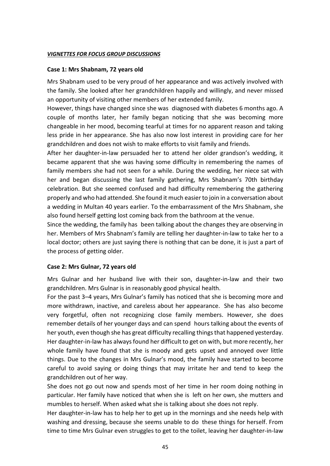#### *VIGNETTES FOR FOCUS GROUP DISCUSSIONS*

#### **Case 1: Mrs Shabnam, 72 years old**

Mrs Shabnam used to be very proud of her appearance and was actively involved with the family. She looked after her grandchildren happily and willingly, and never missed an opportunity of visiting other members of her extended family.

However, things have changed since she was diagnosed with diabetes 6 months ago. A couple of months later, her family began noticing that she was becoming more changeable in her mood, becoming tearful at times for no apparent reason and taking less pride in her appearance. She has also now lost interest in providing care for her grandchildren and does not wish to make efforts to visit family and friends.

After her daughter-in-law persuaded her to attend her older grandson's wedding, it became apparent that she was having some difficulty in remembering the names of family members she had not seen for a while. During the wedding, her niece sat with her and began discussing the last family gathering, Mrs Shabnam's 70th birthday celebration. But she seemed confused and had difficulty remembering the gathering properly and who had attended. She found it much easier to join in a conversation about a wedding in Multan 40 years earlier. To the embarrassment of the Mrs Shabnam, she also found herself getting lost coming back from the bathroom at the venue.

Since the wedding, the family has been talking about the changes they are observing in her. Members of Mrs Shabnam's family are telling her daughter-in-law to take her to a local doctor; others are just saying there is nothing that can be done, it is just a part of the process of getting older.

### **Case 2: Mrs Gulnar, 72 years old**

Mrs Gulnar and her husband live with their son, daughter-in-law and their two grandchildren. Mrs Gulnar is in reasonably good physical health.

For the past 3–4 years, Mrs Gulnar's family has noticed that she is becoming more and more withdrawn, inactive, and careless about her appearance. She has also become very forgetful, often not recognizing close family members. However, she does remember details of her younger days and can spend hours talking about the events of her youth, even though she has great difficulty recalling things that happened yesterday. Her daughter-in-law has always found her difficult to get on with, but more recently, her whole family have found that she is moody and gets upset and annoyed over little things. Due to the changes in Mrs Gulnar's mood, the family have started to become careful to avoid saying or doing things that may irritate her and tend to keep the grandchildren out of her way.

She does not go out now and spends most of her time in her room doing nothing in particular. Her family have noticed that when she is left on her own, she mutters and mumbles to herself. When asked what she is talking about she does not reply.

Her daughter-in-law has to help her to get up in the mornings and she needs help with washing and dressing, because she seems unable to do these things for herself. From time to time Mrs Gulnar even struggles to get to the toilet, leaving her daughter-in-law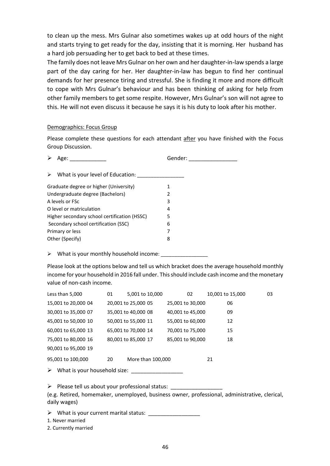to clean up the mess. Mrs Gulnar also sometimes wakes up at odd hours of the night and starts trying to get ready for the day, insisting that it is morning. Her husband has a hard job persuading her to get back to bed at these times.

The family does not leave Mrs Gulnar on her own and her daughter-in-law spends a large part of the day caring for her. Her daughter-in-law has begun to find her continual demands for her presence tiring and stressful. She is finding it more and more difficult to cope with Mrs Gulnar's behaviour and has been thinking of asking for help from other family members to get some respite. However, Mrs Gulnar's son will not agree to this. He will not even discuss it because he says it is his duty to look after his mother.

#### Demographics: Focus Group

Please complete these questions for each attendant after you have finished with the Focus Group Discussion.

| Age:                                         | Gender: |
|----------------------------------------------|---------|
| What is your level of Education:             |         |
| Graduate degree or higher (University)       | 1       |
| Undergraduate degree (Bachelors)             | 2       |
| A levels or ESC                              | 3       |
| O level or matriculation                     | 4       |
| Higher secondary school certification (HSSC) | 5       |
| Secondary school certification (SSC)         | 6       |
| Primary or less                              | 7       |
| Other (Specify)                              | 8       |
|                                              |         |

 $\triangleright$  What is your monthly household income:

Please look at the options below and tell us which bracket does the average household monthly income for your household in 2016 fall under. This should include cash income and the monetary value of non-cash income.

| Less than 5,000              | 01 | 5,001 to 10,000     | 02               | 10,001 to 15,000 | 03 |  |  |
|------------------------------|----|---------------------|------------------|------------------|----|--|--|
| 15,001 to 20,000 04          |    | 20,001 to 25,000 05 | 25,001 to 30,000 | 06               |    |  |  |
| 30,001 to 35,000 07          |    | 35,001 to 40,000 08 | 40,001 to 45,000 | 09               |    |  |  |
| 45,001 to 50,000 10          |    | 50,001 to 55,000 11 | 55,001 to 60,000 | 12               |    |  |  |
| 60,001 to 65,000 13          |    | 65,001 to 70,000 14 | 70,001 to 75,000 | 15               |    |  |  |
| 75,001 to 80,000 16          |    | 80,001 to 85,000 17 | 85,001 to 90,000 | 18               |    |  |  |
| 90,001 to 95,000 19          |    |                     |                  |                  |    |  |  |
| 95,001 to 100,000            | 20 | More than 100,000   |                  | 21               |    |  |  |
| What is your household size: |    |                     |                  |                  |    |  |  |

Please tell us about your professional status: \_\_\_\_\_\_\_\_\_\_\_\_\_\_\_\_\_

(e.g. Retired, homemaker, unemployed, business owner, professional, administrative, clerical, daily wages)

> What is your current marital status: \_\_\_\_\_\_\_\_\_

1. Never married

2. Currently married